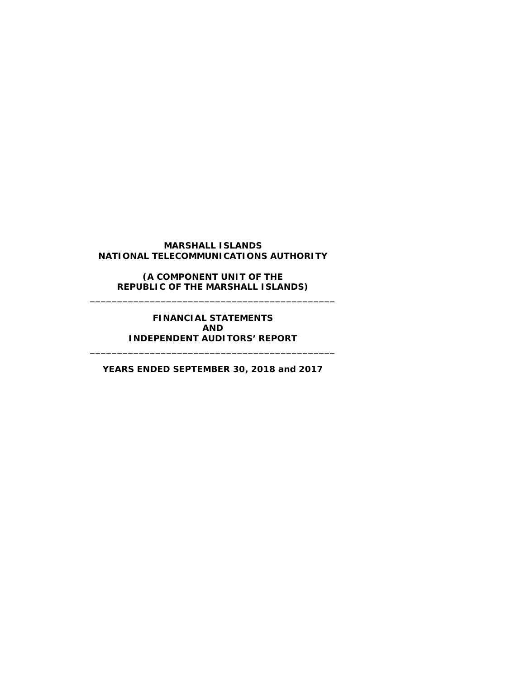# **MARSHALL ISLANDS NATIONAL TELECOMMUNICATIONS AUTHORITY**

**(A COMPONENT UNIT OF THE REPUBLIC OF THE MARSHALL ISLANDS)** \_\_\_\_\_\_\_\_\_\_\_\_\_\_\_\_\_\_\_\_\_\_\_\_\_\_\_\_\_\_\_\_\_\_\_\_\_\_\_\_\_\_\_\_\_

> **FINANCIAL STATEMENTS AND INDEPENDENT AUDITORS' REPORT**

**YEARS ENDED SEPTEMBER 30, 2018 and 2017**

\_\_\_\_\_\_\_\_\_\_\_\_\_\_\_\_\_\_\_\_\_\_\_\_\_\_\_\_\_\_\_\_\_\_\_\_\_\_\_\_\_\_\_\_\_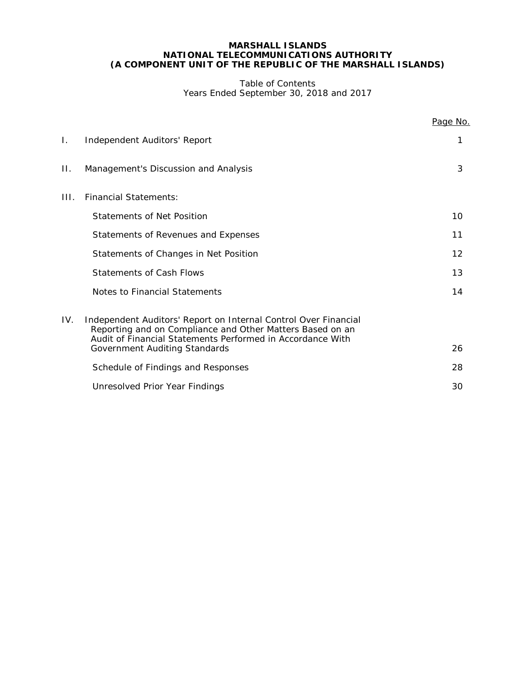### Table of Contents Years Ended September 30, 2018 and 2017

|     |                                                                                                                                                                                            | Page No. |
|-----|--------------------------------------------------------------------------------------------------------------------------------------------------------------------------------------------|----------|
| Ι.  | Independent Auditors' Report                                                                                                                                                               | 1        |
| П.  | Management's Discussion and Analysis                                                                                                                                                       | 3        |
| HL. | <b>Financial Statements:</b>                                                                                                                                                               |          |
|     | <b>Statements of Net Position</b>                                                                                                                                                          | 10       |
|     | Statements of Revenues and Expenses                                                                                                                                                        | 11       |
|     | Statements of Changes in Net Position                                                                                                                                                      | 12       |
|     | <b>Statements of Cash Flows</b>                                                                                                                                                            | 13       |
|     | Notes to Financial Statements                                                                                                                                                              | 14       |
| IV. | Independent Auditors' Report on Internal Control Over Financial<br>Reporting and on Compliance and Other Matters Based on an<br>Audit of Financial Statements Performed in Accordance With |          |
|     | Government Auditing Standards                                                                                                                                                              | 26       |
|     | Schedule of Findings and Responses                                                                                                                                                         | 28       |
|     | Unresolved Prior Year Findings                                                                                                                                                             | 30       |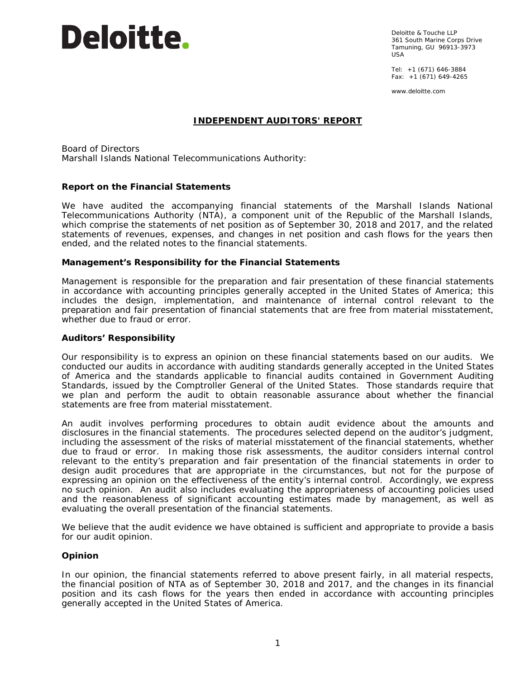# **Deloitte.**

Deloitte & Touche LLP 361 South Marine Corps Drive Tamuning, GU 96913-3973 USA

Tel: +1 (671) 646-3884 Fax: +1 (671) 649-4265

www.deloitte.com

# **INDEPENDENT AUDITORS' REPORT**

Board of Directors Marshall Islands National Telecommunications Authority:

# **Report on the Financial Statements**

We have audited the accompanying financial statements of the Marshall Islands National Telecommunications Authority (NTA), a component unit of the Republic of the Marshall Islands, which comprise the statements of net position as of September 30, 2018 and 2017, and the related statements of revenues, expenses, and changes in net position and cash flows for the years then ended, and the related notes to the financial statements.

# *Management's Responsibility for the Financial Statements*

Management is responsible for the preparation and fair presentation of these financial statements in accordance with accounting principles generally accepted in the United States of America; this includes the design, implementation, and maintenance of internal control relevant to the preparation and fair presentation of financial statements that are free from material misstatement, whether due to fraud or error.

### *Auditors' Responsibility*

Our responsibility is to express an opinion on these financial statements based on our audits. We conducted our audits in accordance with auditing standards generally accepted in the United States of America and the standards applicable to financial audits contained in *Government Auditing Standards*, issued by the Comptroller General of the United States. Those standards require that we plan and perform the audit to obtain reasonable assurance about whether the financial statements are free from material misstatement.

An audit involves performing procedures to obtain audit evidence about the amounts and disclosures in the financial statements. The procedures selected depend on the auditor's judgment, including the assessment of the risks of material misstatement of the financial statements, whether due to fraud or error. In making those risk assessments, the auditor considers internal control relevant to the entity's preparation and fair presentation of the financial statements in order to design audit procedures that are appropriate in the circumstances, but not for the purpose of expressing an opinion on the effectiveness of the entity's internal control. Accordingly, we express no such opinion. An audit also includes evaluating the appropriateness of accounting policies used and the reasonableness of significant accounting estimates made by management, as well as evaluating the overall presentation of the financial statements.

We believe that the audit evidence we have obtained is sufficient and appropriate to provide a basis for our audit opinion.

# *Opinion*

In our opinion, the financial statements referred to above present fairly, in all material respects, the financial position of NTA as of September 30, 2018 and 2017, and the changes in its financial position and its cash flows for the years then ended in accordance with accounting principles generally accepted in the United States of America.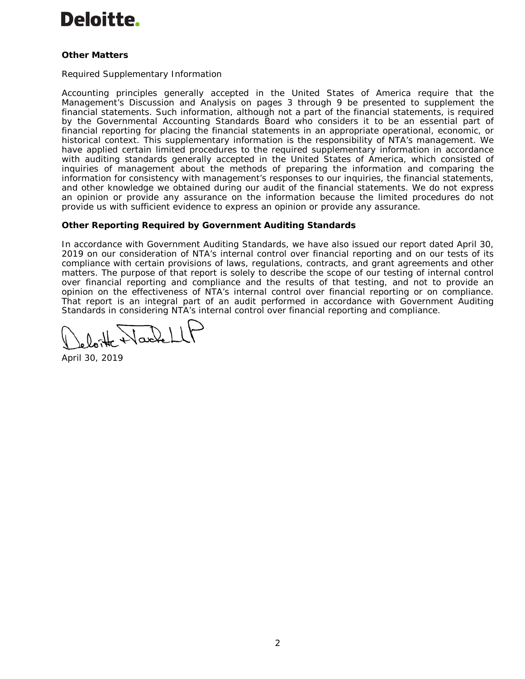# **Deloitte.**

# *Other Matters*

### *Required Supplementary Information*

Accounting principles generally accepted in the United States of America require that the Management's Discussion and Analysis on pages 3 through 9 be presented to supplement the financial statements. Such information, although not a part of the financial statements, is required by the Governmental Accounting Standards Board who considers it to be an essential part of financial reporting for placing the financial statements in an appropriate operational, economic, or historical context. This supplementary information is the responsibility of NTA's management. We have applied certain limited procedures to the required supplementary information in accordance with auditing standards generally accepted in the United States of America, which consisted of inquiries of management about the methods of preparing the information and comparing the information for consistency with management's responses to our inquiries, the financial statements, and other knowledge we obtained during our audit of the financial statements. We do not express an opinion or provide any assurance on the information because the limited procedures do not provide us with sufficient evidence to express an opinion or provide any assurance.

# **Other Reporting Required by** *Government Auditing Standards*

In accordance with *Government Auditing Standards*, we have also issued our report dated April 30, 2019 on our consideration of NTA's internal control over financial reporting and on our tests of its compliance with certain provisions of laws, regulations, contracts, and grant agreements and other matters. The purpose of that report is solely to describe the scope of our testing of internal control over financial reporting and compliance and the results of that testing, and not to provide an opinion on the effectiveness of NTA's internal control over financial reporting or on compliance. That report is an integral part of an audit performed in accordance with *Government Auditing Standards* in considering NTA's internal control over financial reporting and compliance.

Varket

April 30, 2019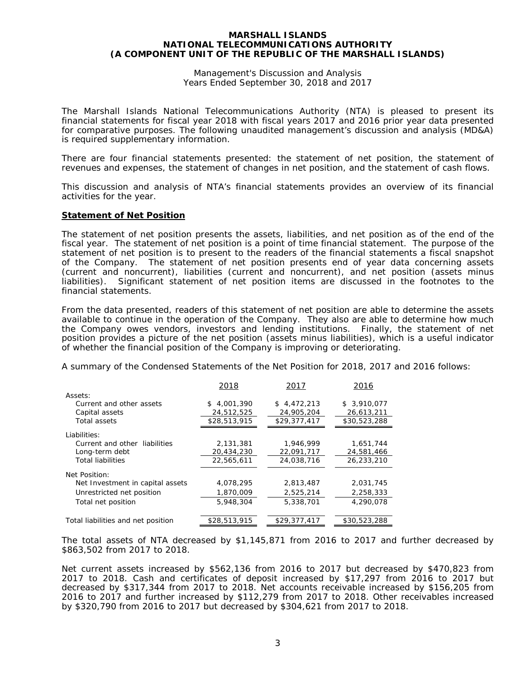Management's Discussion and Analysis Years Ended September 30, 2018 and 2017

The Marshall Islands National Telecommunications Authority (NTA) is pleased to present its financial statements for fiscal year 2018 with fiscal years 2017 and 2016 prior year data presented for comparative purposes. The following unaudited management's discussion and analysis (MD&A) is required supplementary information.

There are four financial statements presented: the statement of net position, the statement of revenues and expenses, the statement of changes in net position, and the statement of cash flows.

This discussion and analysis of NTA's financial statements provides an overview of its financial activities for the year.

#### **Statement of Net Position**

The statement of net position presents the assets, liabilities, and net position as of the end of the fiscal year. The statement of net position is a point of time financial statement. The purpose of the statement of net position is to present to the readers of the financial statements a fiscal snapshot of the Company. The statement of net position presents end of year data concerning assets (current and noncurrent), liabilities (current and noncurrent), and net position (assets minus liabilities). Significant statement of net position items are discussed in the footnotes to the financial statements.

From the data presented, readers of this statement of net position are able to determine the assets available to continue in the operation of the Company. They also are able to determine how much the Company owes vendors, investors and lending institutions. Finally, the statement of net position provides a picture of the net position (assets minus liabilities), which is a useful indicator of whether the financial position of the Company is improving or deteriorating.

A summary of the Condensed Statements of the Net Position for 2018, 2017 and 2016 follows:

|                                    | 2018            | 2017         | 2016         |
|------------------------------------|-----------------|--------------|--------------|
| Assets:                            |                 |              |              |
| Current and other assets           | 4,001,390<br>S. | \$4,472,213  | \$3,910,077  |
| Capital assets                     | 24,512,525      | 24,905,204   | 26,613,211   |
| Total assets                       | \$28,513,915    | \$29,377,417 | \$30,523,288 |
| Liabilities:                       |                 |              |              |
| Current and other liabilities      | 2,131,381       | 1,946,999    | 1,651,744    |
| Long-term debt                     | 20,434,230      | 22,091,717   | 24,581,466   |
| <b>Total liabilities</b>           | 22,565,611      | 24,038,716   | 26,233,210   |
| Net Position:                      |                 |              |              |
| Net Investment in capital assets   | 4,078,295       | 2,813,487    | 2,031,745    |
| Unrestricted net position          | 1,870,009       | 2,525,214    | 2,258,333    |
| Total net position                 | 5,948,304       | 5,338,701    | 4,290,078    |
| Total liabilities and net position | \$28,513,915    | \$29,377,417 | \$30,523,288 |

The total assets of NTA decreased by \$1,145,871 from 2016 to 2017 and further decreased by \$863,502 from 2017 to 2018.

Net current assets increased by \$562,136 from 2016 to 2017 but decreased by \$470,823 from 2017 to 2018. Cash and certificates of deposit increased by \$17,297 from 2016 to 2017 but decreased by \$317,344 from 2017 to 2018. Net accounts receivable increased by \$156,205 from 2016 to 2017 and further increased by \$112,279 from 2017 to 2018. Other receivables increased by \$320,790 from 2016 to 2017 but decreased by \$304,621 from 2017 to 2018.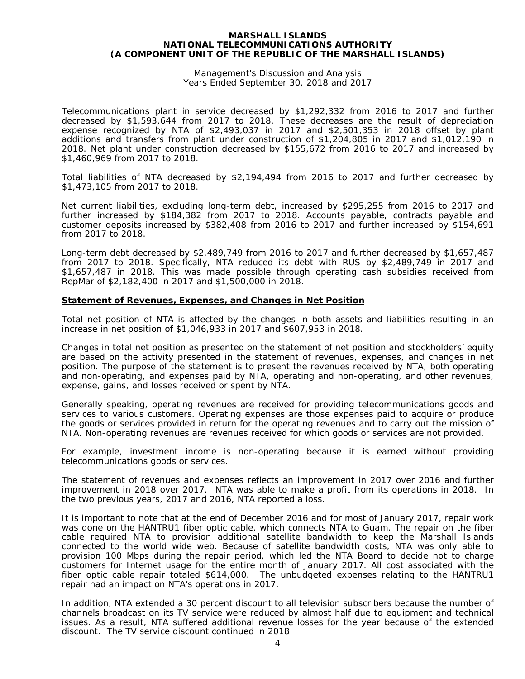Management's Discussion and Analysis Years Ended September 30, 2018 and 2017

Telecommunications plant in service decreased by \$1,292,332 from 2016 to 2017 and further decreased by \$1,593,644 from 2017 to 2018. These decreases are the result of depreciation expense recognized by NTA of \$2,493,037 in 2017 and \$2,501,353 in 2018 offset by plant additions and transfers from plant under construction of \$1,204,805 in 2017 and \$1,012,190 in 2018. Net plant under construction decreased by \$155,672 from 2016 to 2017 and increased by \$1,460,969 from 2017 to 2018.

Total liabilities of NTA decreased by \$2,194,494 from 2016 to 2017 and further decreased by \$1,473,105 from 2017 to 2018.

Net current liabilities, excluding long-term debt, increased by \$295,255 from 2016 to 2017 and further increased by \$184,382 from 2017 to 2018. Accounts payable, contracts payable and customer deposits increased by \$382,408 from 2016 to 2017 and further increased by \$154,691 from 2017 to 2018.

Long-term debt decreased by \$2,489,749 from 2016 to 2017 and further decreased by \$1,657,487 from 2017 to 2018. Specifically, NTA reduced its debt with RUS by \$2,489,749 in 2017 and \$1,657,487 in 2018. This was made possible through operating cash subsidies received from RepMar of \$2,182,400 in 2017 and \$1,500,000 in 2018.

#### **Statement of Revenues, Expenses, and Changes in Net Position**

Total net position of NTA is affected by the changes in both assets and liabilities resulting in an increase in net position of \$1,046,933 in 2017 and \$607,953 in 2018.

Changes in total net position as presented on the statement of net position and stockholders' equity are based on the activity presented in the statement of revenues, expenses, and changes in net position. The purpose of the statement is to present the revenues received by NTA, both operating and non-operating, and expenses paid by NTA, operating and non-operating, and other revenues, expense, gains, and losses received or spent by NTA.

Generally speaking, operating revenues are received for providing telecommunications goods and services to various customers. Operating expenses are those expenses paid to acquire or produce the goods or services provided in return for the operating revenues and to carry out the mission of NTA. Non-operating revenues are revenues received for which goods or services are not provided.

For example, investment income is non-operating because it is earned without providing telecommunications goods or services.

The statement of revenues and expenses reflects an improvement in 2017 over 2016 and further improvement in 2018 over 2017. NTA was able to make a profit from its operations in 2018. In the two previous years, 2017 and 2016, NTA reported a loss.

It is important to note that at the end of December 2016 and for most of January 2017, repair work was done on the HANTRU1 fiber optic cable, which connects NTA to Guam. The repair on the fiber cable required NTA to provision additional satellite bandwidth to keep the Marshall Islands connected to the world wide web. Because of satellite bandwidth costs, NTA was only able to provision 100 Mbps during the repair period, which led the NTA Board to decide not to charge customers for Internet usage for the entire month of January 2017. All cost associated with the fiber optic cable repair totaled \$614,000. The unbudgeted expenses relating to the HANTRU1 repair had an impact on NTA's operations in 2017.

In addition, NTA extended a 30 percent discount to all television subscribers because the number of channels broadcast on its TV service were reduced by almost half due to equipment and technical issues. As a result, NTA suffered additional revenue losses for the year because of the extended discount. The TV service discount continued in 2018.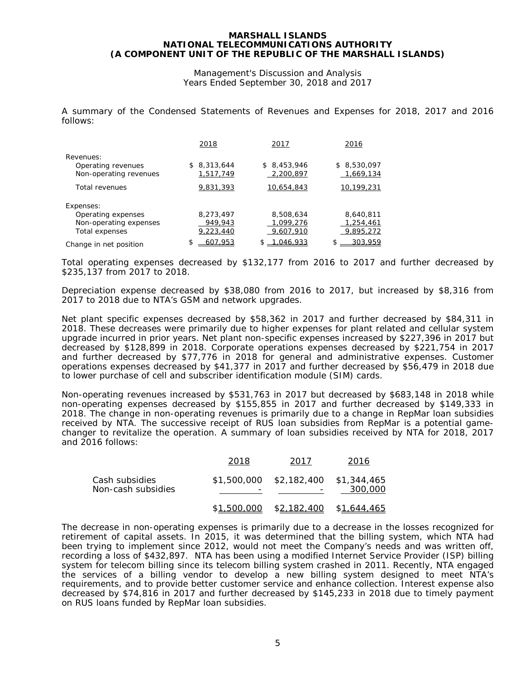Management's Discussion and Analysis Years Ended September 30, 2018 and 2017

A summary of the Condensed Statements of Revenues and Expenses for 2018, 2017 and 2016 follows:

|                        | 2018            | 2017        | 2016        |
|------------------------|-----------------|-------------|-------------|
| Revenues:              |                 |             |             |
| Operating revenues     | 8,313,644<br>S. | \$8,453,946 | \$8,530,097 |
| Non-operating revenues | 1,517,749       | 2,200,897   | 1,669,134   |
| Total revenues         | 9,831,393       | 10,654,843  | 10,199,231  |
| Expenses:              |                 |             |             |
| Operating expenses     | 8,273,497       | 8,508,634   | 8,640,811   |
| Non-operating expenses | 949,943         | 1,099,276   | 1,254,461   |
| Total expenses         | 9,223,440       | 9,607,910   | 9,895,272   |
| Change in net position | \$<br>607.953   | .046.933    | 303,959     |

Total operating expenses decreased by \$132,177 from 2016 to 2017 and further decreased by \$235,137 from 2017 to 2018.

Depreciation expense decreased by \$38,080 from 2016 to 2017, but increased by \$8,316 from 2017 to 2018 due to NTA's GSM and network upgrades.

Net plant specific expenses decreased by \$58,362 in 2017 and further decreased by \$84,311 in 2018. These decreases were primarily due to higher expenses for plant related and cellular system upgrade incurred in prior years. Net plant non-specific expenses increased by \$227,396 in 2017 but decreased by \$128,899 in 2018. Corporate operations expenses decreased by \$221,754 in 2017 and further decreased by \$77,776 in 2018 for general and administrative expenses. Customer operations expenses decreased by \$41,377 in 2017 and further decreased by \$56,479 in 2018 due to lower purchase of cell and subscriber identification module *(SIM)* cards.

Non-operating revenues increased by \$531,763 in 2017 but decreased by \$683,148 in 2018 while non-operating expenses decreased by \$155,855 in 2017 and further decreased by \$149,333 in 2018. The change in non-operating revenues is primarily due to a change in RepMar loan subsidies received by NTA. The successive receipt of RUS loan subsidies from RepMar is a potential gamechanger to revitalize the operation. A summary of loan subsidies received by NTA for 2018, 2017 and 2016 follows:

|                                      | 2018        | 2017                                | 2016        |
|--------------------------------------|-------------|-------------------------------------|-------------|
| Cash subsidies<br>Non-cash subsidies |             | \$1,500,000 \$2,182,400 \$1,344,465 | 300,000     |
|                                      | \$1,500,000 | \$ <u>2,182,400</u>                 | \$1,644,465 |

The decrease in non-operating expenses is primarily due to a decrease in the losses recognized for retirement of capital assets. In 2015, it was determined that the billing system, which NTA had been trying to implement since 2012, would not meet the Company's needs and was written off, recording a loss of \$432,897. NTA has been using a modified Internet Service Provider (ISP) billing system for telecom billing since its telecom billing system crashed in 2011. Recently, NTA engaged the services of a billing vendor to develop a new billing system designed to meet NTA's requirements, and to provide better customer service and enhance collection. Interest expense also decreased by \$74,816 in 2017 and further decreased by \$145,233 in 2018 due to timely payment on RUS loans funded by RepMar loan subsidies.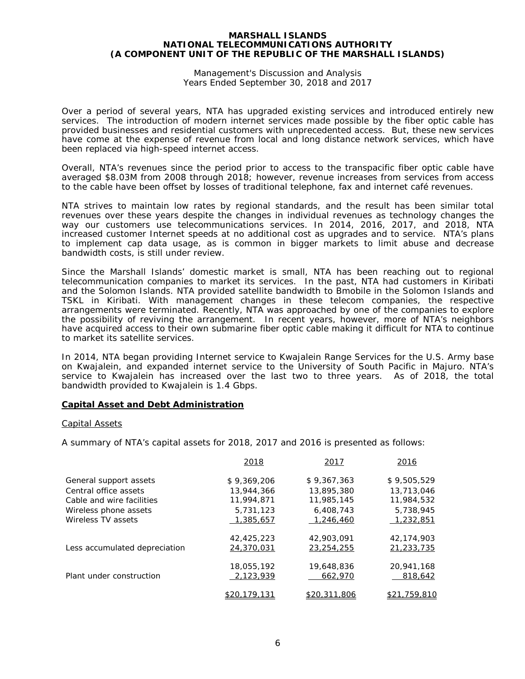Management's Discussion and Analysis Years Ended September 30, 2018 and 2017

Over a period of several years, NTA has upgraded existing services and introduced entirely new services. The introduction of modern internet services made possible by the fiber optic cable has provided businesses and residential customers with unprecedented access. But, these new services have come at the expense of revenue from local and long distance network services, which have been replaced via high-speed internet access.

Overall, NTA's revenues since the period prior to access to the transpacific fiber optic cable have averaged \$8.03M from 2008 through 2018; however, revenue increases from services from access to the cable have been offset by losses of traditional telephone, fax and internet café revenues.

NTA strives to maintain low rates by regional standards, and the result has been similar total revenues over these years despite the changes in individual revenues as technology changes the way our customers use telecommunications services. In 2014, 2016, 2017, and 2018, NTA increased customer Internet speeds at no additional cost as upgrades and to service. NTA's plans to implement cap data usage, as is common in bigger markets to limit abuse and decrease bandwidth costs, is still under review.

Since the Marshall Islands' domestic market is small, NTA has been reaching out to regional telecommunication companies to market its services. In the past, NTA had customers in Kiribati and the Solomon Islands. NTA provided satellite bandwidth to Bmobile in the Solomon Islands and TSKL in Kiribati. With management changes in these telecom companies, the respective arrangements were terminated. Recently, NTA was approached by one of the companies to explore the possibility of reviving the arrangement. In recent years, however, more of NTA's neighbors have acquired access to their own submarine fiber optic cable making it difficult for NTA to continue to market its satellite services.

In 2014, NTA began providing Internet service to Kwajalein Range Services for the U.S. Army base on Kwajalein, and expanded internet service to the University of South Pacific in Majuro. NTA's service to Kwajalein has increased over the last two to three years. As of 2018, the total bandwidth provided to Kwajalein is 1.4 Gbps.

#### **Capital Asset and Debt Administration**

#### Capital Assets

A summary of NTA's capital assets for 2018, 2017 and 2016 is presented as follows:

|                               | 2018         | 2017         | 2016         |
|-------------------------------|--------------|--------------|--------------|
| General support assets        | \$9,369,206  | \$9.367.363  | \$9,505,529  |
| Central office assets         | 13,944,366   | 13,895,380   | 13,713,046   |
| Cable and wire facilities     | 11,994,871   | 11,985,145   | 11,984,532   |
| Wireless phone assets         | 5,731,123    | 6,408,743    | 5,738,945    |
| Wireless TV assets            | 1,385,657    | 1,246,460    | 1,232,851    |
|                               | 42,425,223   | 42,903,091   | 42,174,903   |
| Less accumulated depreciation | 24,370,031   | 23,254,255   | 21,233,735   |
|                               | 18,055,192   | 19,648,836   | 20,941,168   |
| Plant under construction      | 2,123,939    | 662,970      | 818,642      |
|                               | \$20,179,131 | \$20,311,806 | \$21,759,810 |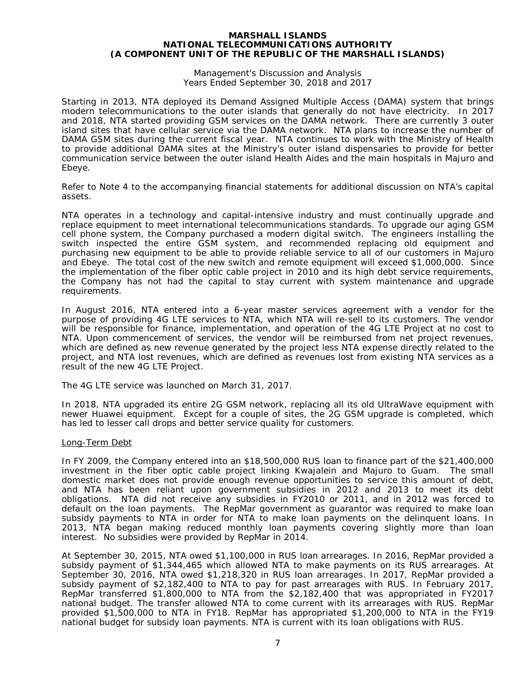Management's Discussion and Analysis Years Ended September 30, 2018 and 2017

Starting in 2013, NTA deployed its Demand Assigned Multiple Access (DAMA) system that brings modern telecommunications to the outer islands that generally do not have electricity. In 2017 and 2018, NTA started providing GSM services on the DAMA network. There are currently 3 outer island sites that have cellular service via the DAMA network. NTA plans to increase the number of DAMA GSM sites during the current fiscal year. NTA continues to work with the Ministry of Health to provide additional DAMA sites at the Ministry's outer island dispensaries to provide for better communication service between the outer island Health Aides and the main hospitals in Majuro and Ebeye.

Refer to Note 4 to the accompanying financial statements for additional discussion on NTA's capital assets.

NTA operates in a technology and capital-intensive industry and must continually upgrade and replace equipment to meet international telecommunications standards. To upgrade our aging GSM cell phone system, the Company purchased a modern digital switch. The engineers installing the switch inspected the entire GSM system, and recommended replacing old equipment and purchasing new equipment to be able to provide reliable service to all of our customers in Majuro and Ebeye. The total cost of the new switch and remote equipment will exceed \$1,000,000. Since the implementation of the fiber optic cable project in 2010 and its high debt service requirements, the Company has not had the capital to stay current with system maintenance and upgrade requirements.

In August 2016, NTA entered into a 6-year master services agreement with a vendor for the purpose of providing 4G LTE services to NTA, which NTA will re-sell to its customers. The vendor will be responsible for finance, implementation, and operation of the 4G LTE Project at no cost to NTA. Upon commencement of services, the vendor will be reimbursed from net project revenues, which are defined as new revenue generated by the project less NTA expense directly related to the project, and NTA lost revenues, which are defined as revenues lost from existing NTA services as a result of the new 4G LTE Project.

The 4G LTE service was launched on March 31, 2017.

In 2018, NTA upgraded its entire 2G GSM network, replacing all its old UltraWave equipment with newer Huawei equipment. Except for a couple of sites, the 2G GSM upgrade is completed, which has led to lesser call drops and better service quality for customers.

#### Long-Term Debt

In FY 2009, the Company entered into an \$18,500,000 RUS loan to finance part of the \$21,400,000 investment in the fiber optic cable project linking Kwajalein and Majuro to Guam. The small domestic market does not provide enough revenue opportunities to service this amount of debt, and NTA has been reliant upon government subsidies in 2012 and 2013 to meet its debt obligations. NTA did not receive any subsidies in FY2010 or 2011, and in 2012 was forced to default on the loan payments. The RepMar government as guarantor was required to make loan subsidy payments to NTA in order for NTA to make loan payments on the delinquent loans. In 2013, NTA began making reduced monthly loan payments covering slightly more than loan interest. No subsidies were provided by RepMar in 2014.

At September 30, 2015, NTA owed \$1,100,000 in RUS loan arrearages. In 2016, RepMar provided a subsidy payment of \$1,344,465 which allowed NTA to make payments on its RUS arrearages. At September 30, 2016, NTA owed \$1,218,320 in RUS loan arrearages. In 2017, RepMar provided a subsidy payment of \$2,182,400 to NTA to pay for past arrearages with RUS. In February 2017, RepMar transferred \$1,800,000 to NTA from the \$2,182,400 that was appropriated in FY2017 national budget. The transfer allowed NTA to come current with its arrearages with RUS. RepMar provided \$1,500,000 to NTA in FY18. RepMar has appropriated \$1,200,000 to NTA in the FY19 national budget for subsidy loan payments. NTA is current with its loan obligations with RUS.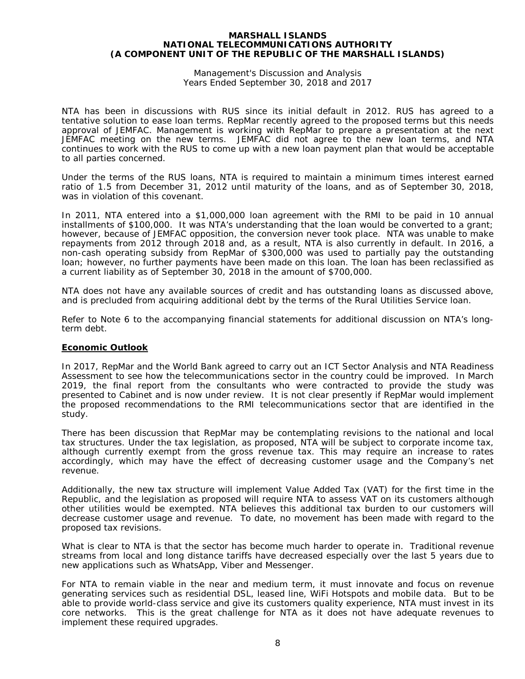Management's Discussion and Analysis Years Ended September 30, 2018 and 2017

NTA has been in discussions with RUS since its initial default in 2012. RUS has agreed to a tentative solution to ease loan terms. RepMar recently agreed to the proposed terms but this needs approval of JEMFAC. Management is working with RepMar to prepare a presentation at the next JEMFAC meeting on the new terms. JEMFAC did not agree to the new loan terms, and NTA continues to work with the RUS to come up with a new loan payment plan that would be acceptable to all parties concerned.

Under the terms of the RUS loans, NTA is required to maintain a minimum times interest earned ratio of 1.5 from December 31, 2012 until maturity of the loans, and as of September 30, 2018, was in violation of this covenant.

In 2011, NTA entered into a \$1,000,000 loan agreement with the RMI to be paid in 10 annual installments of \$100,000. It was NTA's understanding that the loan would be converted to a grant; however, because of JEMFAC opposition, the conversion never took place. NTA was unable to make repayments from 2012 through 2018 and, as a result, NTA is also currently in default. In 2016, a non-cash operating subsidy from RepMar of \$300,000 was used to partially pay the outstanding loan; however, no further payments have been made on this loan. The loan has been reclassified as a current liability as of September 30, 2018 in the amount of \$700,000.

NTA does not have any available sources of credit and has outstanding loans as discussed above, and is precluded from acquiring additional debt by the terms of the Rural Utilities Service loan.

Refer to Note 6 to the accompanying financial statements for additional discussion on NTA's longterm debt.

#### **Economic Outlook**

In 2017, RepMar and the World Bank agreed to carry out an ICT Sector Analysis and NTA Readiness Assessment to see how the telecommunications sector in the country could be improved. In March 2019, the final report from the consultants who were contracted to provide the study was presented to Cabinet and is now under review. It is not clear presently if RepMar would implement the proposed recommendations to the RMI telecommunications sector that are identified in the study.

There has been discussion that RepMar may be contemplating revisions to the national and local tax structures. Under the tax legislation, as proposed, NTA will be subject to corporate income tax, although currently exempt from the gross revenue tax. This may require an increase to rates accordingly, which may have the effect of decreasing customer usage and the Company's net revenue.

Additionally, the new tax structure will implement Value Added Tax (VAT) for the first time in the Republic, and the legislation as proposed will require NTA to assess VAT on its customers although other utilities would be exempted. NTA believes this additional tax burden to our customers will decrease customer usage and revenue. To date, no movement has been made with regard to the proposed tax revisions.

What is clear to NTA is that the sector has become much harder to operate in. Traditional revenue streams from local and long distance tariffs have decreased especially over the last 5 years due to new applications such as WhatsApp, Viber and Messenger.

For NTA to remain viable in the near and medium term, it must innovate and focus on revenue generating services such as residential DSL, leased line, WiFi Hotspots and mobile data. But to be able to provide world-class service and give its customers quality experience, NTA must invest in its core networks. This is the great challenge for NTA as it does not have adequate revenues to implement these required upgrades.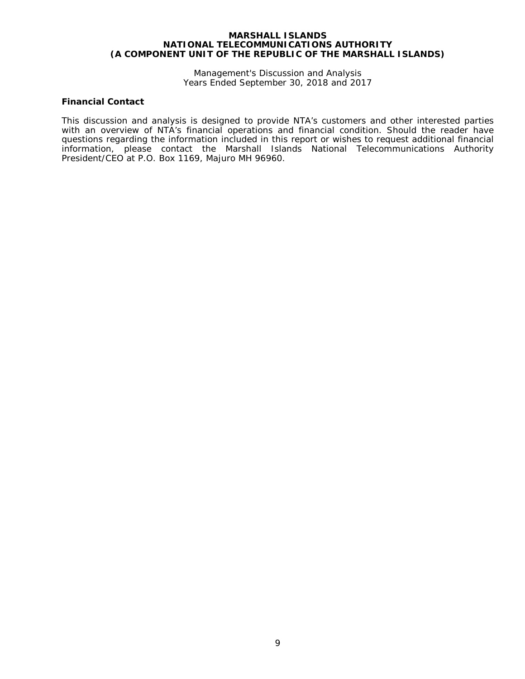Management's Discussion and Analysis Years Ended September 30, 2018 and 2017

# **Financial Contact**

This discussion and analysis is designed to provide NTA's customers and other interested parties with an overview of NTA's financial operations and financial condition. Should the reader have questions regarding the information included in this report or wishes to request additional financial information, please contact the Marshall Islands National Telecommunications Authority President/CEO at P.O. Box 1169, Majuro MH 96960.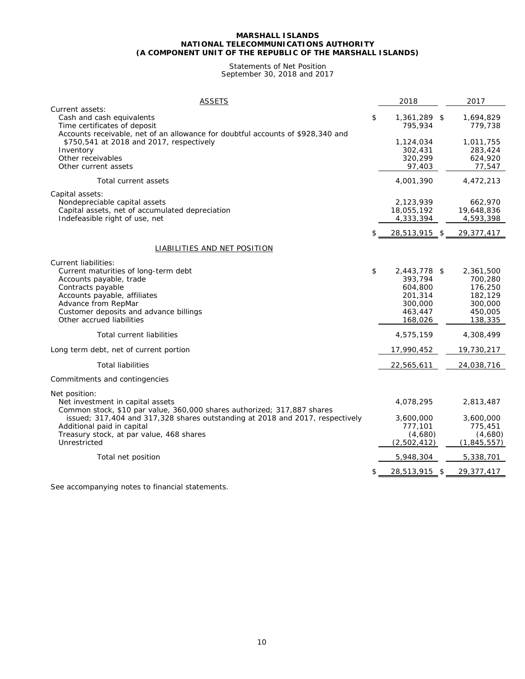#### Statements of Net Position September 30, 2018 and 2017

| <b>ASSETS</b>                                                                                                                                                                                                                              | 2018                                                                                 | 2017                                                                        |
|--------------------------------------------------------------------------------------------------------------------------------------------------------------------------------------------------------------------------------------------|--------------------------------------------------------------------------------------|-----------------------------------------------------------------------------|
| Current assets:<br>Cash and cash equivalents<br>Time certificates of deposit                                                                                                                                                               | \$<br>1,361,289 \$<br>795,934                                                        | 1,694,829<br>779,738                                                        |
| Accounts receivable, net of an allowance for doubtful accounts of \$928,340 and<br>\$750,541 at 2018 and 2017, respectively<br>Inventory<br>Other receivables<br>Other current assets                                                      | 1,124,034<br>302,431<br>320,299<br>97,403                                            | 1,011,755<br>283,424<br>624,920<br>77,547                                   |
| Total current assets                                                                                                                                                                                                                       | 4,001,390                                                                            | 4,472,213                                                                   |
| Capital assets:<br>Nondepreciable capital assets<br>Capital assets, net of accumulated depreciation<br>Indefeasible right of use, net                                                                                                      | \$<br>2,123,939<br>18,055,192<br>4,333,394<br>28,513,915 \$                          | 662,970<br>19,648,836<br>4,593,398<br>29,377,417                            |
| LIABILITIES AND NET POSITION                                                                                                                                                                                                               |                                                                                      |                                                                             |
| Current liabilities:<br>Current maturities of long-term debt<br>Accounts payable, trade<br>Contracts payable<br>Accounts payable, affiliates<br>Advance from RepMar<br>Customer deposits and advance billings<br>Other accrued liabilities | \$<br>2,443,778 \$<br>393,794<br>604,800<br>201,314<br>300,000<br>463,447<br>168,026 | 2,361,500<br>700,280<br>176,250<br>182,129<br>300,000<br>450,005<br>138,335 |
| <b>Total current liabilities</b>                                                                                                                                                                                                           | 4,575,159                                                                            | 4,308,499                                                                   |
| Long term debt, net of current portion                                                                                                                                                                                                     | 17,990,452                                                                           | 19,730,217                                                                  |
| <b>Total liabilities</b>                                                                                                                                                                                                                   | 22,565,611                                                                           | 24,038,716                                                                  |
| Commitments and contingencies                                                                                                                                                                                                              |                                                                                      |                                                                             |
| Net position:<br>Net investment in capital assets<br>Common stock, \$10 par value, 360,000 shares authorized; 317,887 shares                                                                                                               | 4,078,295                                                                            | 2,813,487                                                                   |
| issued; 317,404 and 317,328 shares outstanding at 2018 and 2017, respectively<br>Additional paid in capital<br>Treasury stock, at par value, 468 shares<br>Unrestricted                                                                    | 3,600,000<br>777,101<br>(4,680)<br>(2,502,412)                                       | 3,600,000<br>775,451<br>(4,680)<br>(1,845,557)                              |
| Total net position                                                                                                                                                                                                                         | 5,948,304                                                                            | 5,338,701                                                                   |
|                                                                                                                                                                                                                                            | 28,513,915 \$                                                                        | 29,377,417                                                                  |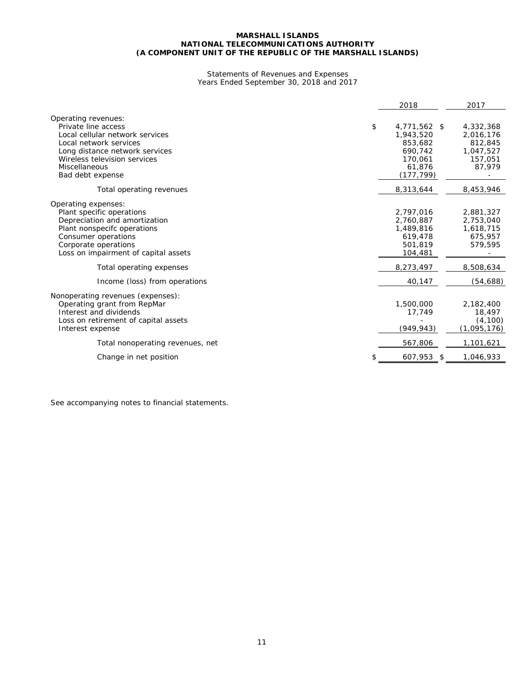#### Statements of Revenues and Expenses Years Ended September 30, 2018 and 2017

|                                                                                                                                                                                                                | 2018                                                                                    | 2017                                                                |
|----------------------------------------------------------------------------------------------------------------------------------------------------------------------------------------------------------------|-----------------------------------------------------------------------------------------|---------------------------------------------------------------------|
| Operating revenues:<br>Private line access<br>Local cellular network services<br>Local network services<br>Long distance network services<br>Wireless television services<br>Miscellaneous<br>Bad debt expense | \$<br>4,771,562 \$<br>1,943,520<br>853,682<br>690.742<br>170,061<br>61,876<br>(177,799) | 4,332,368<br>2,016,176<br>812,845<br>1,047,527<br>157.051<br>87.979 |
| Total operating revenues                                                                                                                                                                                       | 8,313,644                                                                               | 8,453,946                                                           |
| Operating expenses:<br>Plant specific operations<br>Depreciation and amortization<br>Plant nonspecifc operations<br>Consumer operations<br>Corporate operations<br>Loss on impairment of capital assets        | 2,797,016<br>2.760.887<br>1,489,816<br>619,478<br>501.819<br>104,481                    | 2,881,327<br>2,753,040<br>1,618,715<br>675,957<br>579,595           |
| Total operating expenses                                                                                                                                                                                       | 8,273,497                                                                               | 8,508,634                                                           |
| Income (loss) from operations                                                                                                                                                                                  | 40,147                                                                                  | (54, 688)                                                           |
| Nonoperating revenues (expenses):<br>Operating grant from RepMar<br>Interest and dividends<br>Loss on retirement of capital assets<br>Interest expense                                                         | 1,500,000<br>17,749<br>(949, 943)                                                       | 2,182,400<br>18,497<br>(4, 100)<br>(1,095,176)                      |
| Total nonoperating revenues, net                                                                                                                                                                               | 567,806                                                                                 | 1,101,621                                                           |
| Change in net position                                                                                                                                                                                         | 607,953 \$                                                                              | 1,046,933                                                           |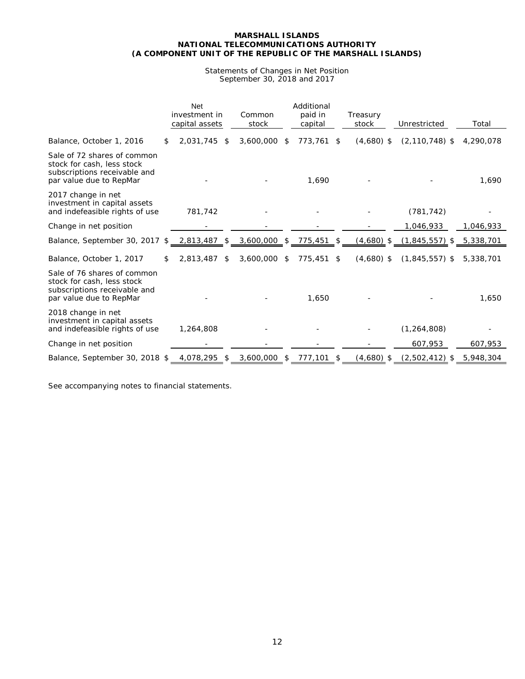#### Statements of Changes in Net Position September 30, 2018 and 2017

|                                                                                                                      |    | <b>Net</b><br>investment in<br>capital assets | Common<br>stock | Additional<br>paid in<br>capital | Treasury<br>stock  | Unrestricted               | Total     |
|----------------------------------------------------------------------------------------------------------------------|----|-----------------------------------------------|-----------------|----------------------------------|--------------------|----------------------------|-----------|
| Balance, October 1, 2016                                                                                             | S. | 2.031.745<br>\$                               | 3,600,000       | \$<br>773,761 \$                 | $(4,680)$ \$       | $(2, 110, 748)$ \$         | 4,290,078 |
| Sale of 72 shares of common<br>stock for cash, less stock<br>subscriptions receivable and<br>par value due to RepMar |    |                                               |                 | 1,690                            |                    |                            | 1,690     |
| 2017 change in net<br>investment in capital assets<br>and indefeasible rights of use                                 |    | 781,742                                       |                 |                                  |                    | (781, 742)                 |           |
| Change in net position                                                                                               |    |                                               |                 |                                  |                    | 1,046,933                  | 1,046,933 |
| Balance, September 30, 2017                                                                                          | \$ | 2,813,487 \$                                  | 3,600,000 \$    | 775,451                          | \$<br>$(4,680)$ \$ | $(1,845,557)$ \$ 5,338,701 |           |
| Balance, October 1, 2017                                                                                             | S. | 2,813,487<br>\$                               | 3,600,000       | \$<br>775,451 \$                 | $(4,680)$ \$       | $(1,845,557)$ \$           | 5,338,701 |
| Sale of 76 shares of common<br>stock for cash, less stock<br>subscriptions receivable and<br>par value due to RepMar |    |                                               |                 | 1,650                            |                    |                            | 1,650     |
| 2018 change in net<br>investment in capital assets<br>and indefeasible rights of use                                 |    | 1,264,808                                     |                 |                                  |                    | (1, 264, 808)              |           |
| Change in net position                                                                                               |    |                                               |                 |                                  |                    | 607,953                    | 607,953   |
| Balance, September 30, 2018 \$                                                                                       |    | 4,078,295 \$                                  | 3,600,000 \$    | 777,101                          | \$<br>$(4,680)$ \$ | $(2,502,412)$ \$           | 5,948,304 |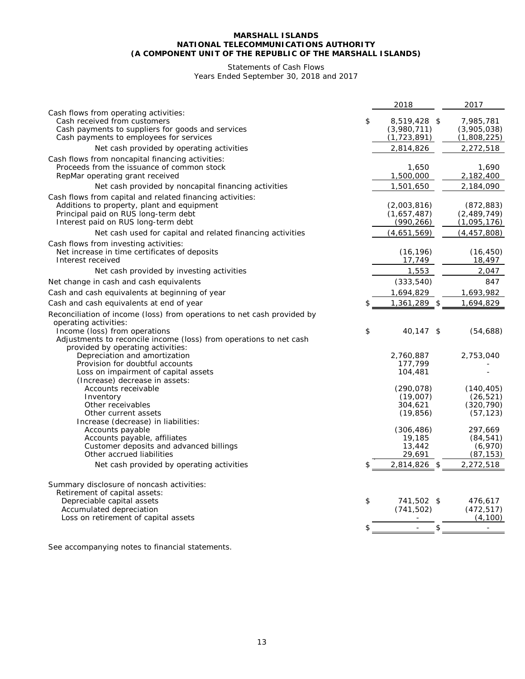# Statements of Cash Flows

Years Ended September 30, 2018 and 2017

|                                                                         | 2018                       | 2017                    |
|-------------------------------------------------------------------------|----------------------------|-------------------------|
| Cash flows from operating activities:                                   |                            |                         |
| Cash received from customers                                            | \$<br>8,519,428 \$         | 7,985,781               |
| Cash payments to suppliers for goods and services                       | (3,980,711)                | (3,905,038)             |
| Cash payments to employees for services                                 | (1, 723, 891)              | (1,808,225)             |
| Net cash provided by operating activities                               | 2,814,826                  | 2,272,518               |
| Cash flows from noncapital financing activities:                        |                            |                         |
| Proceeds from the issuance of common stock                              | 1,650                      | 1,690                   |
| RepMar operating grant received                                         | 1,500,000                  | 2,182,400               |
| Net cash provided by noncapital financing activities                    | 1,501,650                  | 2,184,090               |
| Cash flows from capital and related financing activities:               |                            |                         |
| Additions to property, plant and equipment                              | (2,003,816)                | (872, 883)              |
| Principal paid on RUS long-term debt                                    | (1,657,487)                | (2,489,749)             |
| Interest paid on RUS long-term debt                                     | (990, 266)                 | (1,095,176)             |
| Net cash used for capital and related financing activities              | (4,651,569)                | (4, 457, 808)           |
| Cash flows from investing activities:                                   |                            |                         |
| Net increase in time certificates of deposits                           | (16, 196)                  | (16, 450)               |
| Interest received                                                       | 17,749                     | 18,497                  |
| Net cash provided by investing activities                               | 1,553                      | 2,047                   |
| Net change in cash and cash equivalents                                 | (333,540)                  | 847                     |
| Cash and cash equivalents at beginning of year                          | 1,694,829                  | 1,693,982               |
| Cash and cash equivalents at end of year                                | \$<br>1,361,289 \$         | 1,694,829               |
| Reconciliation of income (loss) from operations to net cash provided by |                            |                         |
| operating activities:                                                   |                            |                         |
| Income (loss) from operations                                           | \$<br>40,147 \$            | (54, 688)               |
| Adjustments to reconcile income (loss) from operations to net cash      |                            |                         |
| provided by operating activities:                                       |                            |                         |
| Depreciation and amortization                                           | 2,760,887                  | 2,753,040               |
| Provision for doubtful accounts                                         | 177,799                    |                         |
| Loss on impairment of capital assets                                    | 104,481                    |                         |
| (Increase) decrease in assets:                                          |                            |                         |
| Accounts receivable                                                     | (290, 078)                 | (140, 405)              |
| Inventory                                                               | (19,007)                   | (26, 521)<br>(320, 790) |
| Other receivables<br>Other current assets                               | 304,621<br>(19, 856)       | (57, 123)               |
| Increase (decrease) in liabilities:                                     |                            |                         |
| Accounts payable                                                        | (306, 486)                 | 297,669                 |
| Accounts payable, affiliates                                            | 19,185                     | (84, 541)               |
| Customer deposits and advanced billings                                 | 13,442                     | (6,970)                 |
| Other accrued liabilities                                               | 29,691                     | (87, 153)               |
| Net cash provided by operating activities                               | \$<br>2,814,826 \$         | 2,272,518               |
|                                                                         |                            |                         |
| Summary disclosure of noncash activities:                               |                            |                         |
| Retirement of capital assets:                                           |                            |                         |
| Depreciable capital assets                                              | \$<br>741,502 \$           | 476,617                 |
| Accumulated depreciation                                                | (741, 502)                 | (472, 517)              |
| Loss on retirement of capital assets                                    |                            | (4, 100)                |
|                                                                         | \$<br>\$<br>$\blacksquare$ |                         |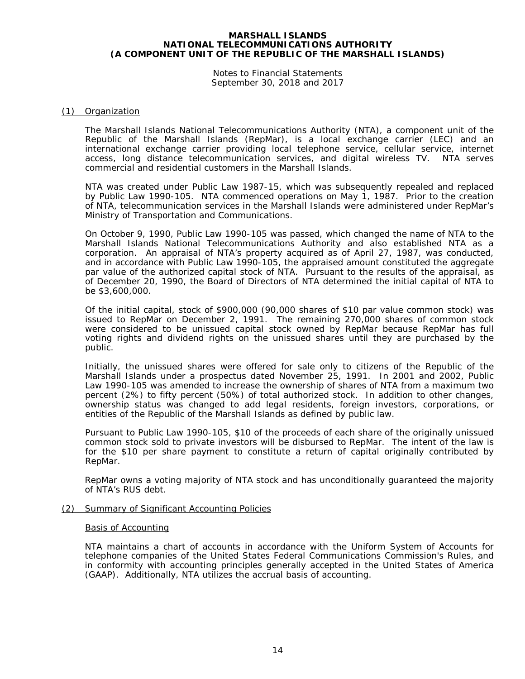Notes to Financial Statements September 30, 2018 and 2017

#### (1) Organization

The Marshall Islands National Telecommunications Authority (NTA), a component unit of the Republic of the Marshall Islands (RepMar), is a local exchange carrier (LEC) and an international exchange carrier providing local telephone service, cellular service, internet access, long distance telecommunication services, and digital wireless TV. NTA serves commercial and residential customers in the Marshall Islands.

NTA was created under Public Law 1987-15, which was subsequently repealed and replaced by Public Law 1990-105. NTA commenced operations on May 1, 1987. Prior to the creation of NTA, telecommunication services in the Marshall Islands were administered under RepMar's Ministry of Transportation and Communications.

On October 9, 1990, Public Law 1990-105 was passed, which changed the name of NTA to the Marshall Islands National Telecommunications Authority and also established NTA as a corporation. An appraisal of NTA's property acquired as of April 27, 1987, was conducted, and in accordance with Public Law 1990-105, the appraised amount constituted the aggregate par value of the authorized capital stock of NTA. Pursuant to the results of the appraisal, as of December 20, 1990, the Board of Directors of NTA determined the initial capital of NTA to be \$3,600,000.

Of the initial capital, stock of \$900,000 (90,000 shares of \$10 par value common stock) was issued to RepMar on December 2, 1991. The remaining 270,000 shares of common stock were considered to be unissued capital stock owned by RepMar because RepMar has full voting rights and dividend rights on the unissued shares until they are purchased by the public.

Initially, the unissued shares were offered for sale only to citizens of the Republic of the Marshall Islands under a prospectus dated November 25, 1991. In 2001 and 2002, Public Law 1990-105 was amended to increase the ownership of shares of NTA from a maximum two percent (2%) to fifty percent (50%) of total authorized stock. In addition to other changes, ownership status was changed to add legal residents, foreign investors, corporations, or entities of the Republic of the Marshall Islands as defined by public law.

Pursuant to Public Law 1990-105, \$10 of the proceeds of each share of the originally unissued common stock sold to private investors will be disbursed to RepMar. The intent of the law is for the \$10 per share payment to constitute a return of capital originally contributed by RepMar.

RepMar owns a voting majority of NTA stock and has unconditionally guaranteed the majority of NTA's RUS debt.

#### (2) Summary of Significant Accounting Policies

#### Basis of Accounting

NTA maintains a chart of accounts in accordance with the Uniform System of Accounts for telephone companies of the United States Federal Communications Commission's Rules, and in conformity with accounting principles generally accepted in the United States of America (GAAP). Additionally, NTA utilizes the accrual basis of accounting.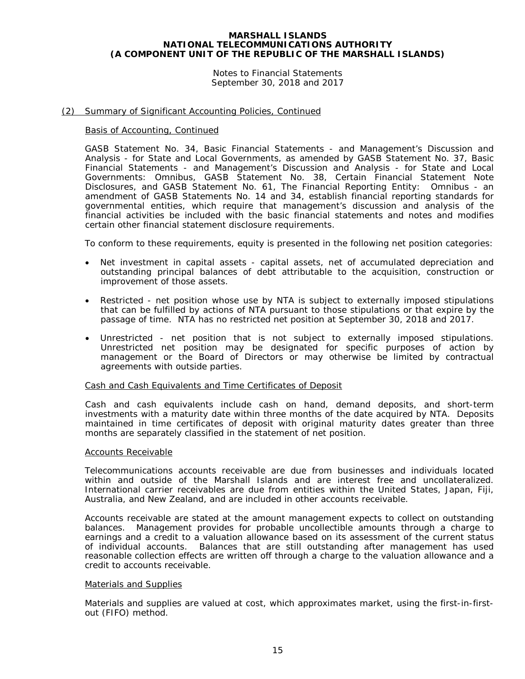Notes to Financial Statements September 30, 2018 and 2017

#### (2) Summary of Significant Accounting Policies, Continued

#### Basis of Accounting, Continued

GASB Statement No. 34, *Basic Financial Statements - and Management's Discussion and Analysis - for State and Local Governments*, as amended by GASB Statement No. 37, *Basic Financial Statements - and Management's Discussion and Analysis - for State and Local Governments: Omnibus*, GASB Statement No. 38, *Certain Financial Statement Note Disclosures*, and GASB Statement No. 61, *The Financial Reporting Entity: Omnibus - an amendment of GASB Statements No. 14 and 34*, establish financial reporting standards for governmental entities, which require that management's discussion and analysis of the financial activities be included with the basic financial statements and notes and modifies certain other financial statement disclosure requirements.

To conform to these requirements, equity is presented in the following net position categories:

- Net investment in capital assets capital assets, net of accumulated depreciation and outstanding principal balances of debt attributable to the acquisition, construction or improvement of those assets.
- Restricted net position whose use by NTA is subject to externally imposed stipulations that can be fulfilled by actions of NTA pursuant to those stipulations or that expire by the passage of time. NTA has no restricted net position at September 30, 2018 and 2017.
- Unrestricted net position that is not subject to externally imposed stipulations. Unrestricted net position may be designated for specific purposes of action by management or the Board of Directors or may otherwise be limited by contractual agreements with outside parties.

#### Cash and Cash Equivalents and Time Certificates of Deposit

Cash and cash equivalents include cash on hand, demand deposits, and short-term investments with a maturity date within three months of the date acquired by NTA. Deposits maintained in time certificates of deposit with original maturity dates greater than three months are separately classified in the statement of net position.

#### Accounts Receivable

Telecommunications accounts receivable are due from businesses and individuals located within and outside of the Marshall Islands and are interest free and uncollateralized. International carrier receivables are due from entities within the United States, Japan, Fiji, Australia, and New Zealand, and are included in other accounts receivable.

Accounts receivable are stated at the amount management expects to collect on outstanding balances. Management provides for probable uncollectible amounts through a charge to earnings and a credit to a valuation allowance based on its assessment of the current status of individual accounts. Balances that are still outstanding after management has used reasonable collection effects are written off through a charge to the valuation allowance and a credit to accounts receivable.

### Materials and Supplies

Materials and supplies are valued at cost, which approximates market, using the first-in-firstout (FIFO) method.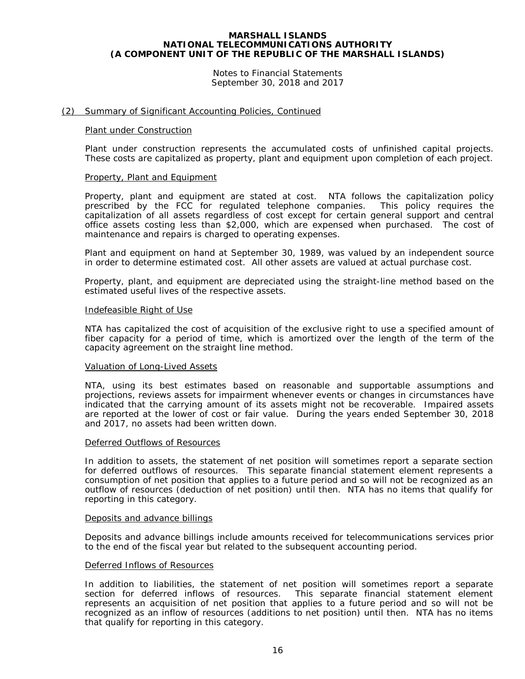Notes to Financial Statements September 30, 2018 and 2017

#### (2) Summary of Significant Accounting Policies, Continued

#### Plant under Construction

Plant under construction represents the accumulated costs of unfinished capital projects. These costs are capitalized as property, plant and equipment upon completion of each project.

#### Property, Plant and Equipment

Property, plant and equipment are stated at cost. NTA follows the capitalization policy prescribed by the FCC for regulated telephone companies. This policy requires the capitalization of all assets regardless of cost except for certain general support and central office assets costing less than \$2,000, which are expensed when purchased. The cost of maintenance and repairs is charged to operating expenses.

Plant and equipment on hand at September 30, 1989, was valued by an independent source in order to determine estimated cost. All other assets are valued at actual purchase cost.

Property, plant, and equipment are depreciated using the straight-line method based on the estimated useful lives of the respective assets.

#### Indefeasible Right of Use

NTA has capitalized the cost of acquisition of the exclusive right to use a specified amount of fiber capacity for a period of time, which is amortized over the length of the term of the capacity agreement on the straight line method.

#### Valuation of Long-Lived Assets

NTA, using its best estimates based on reasonable and supportable assumptions and projections, reviews assets for impairment whenever events or changes in circumstances have indicated that the carrying amount of its assets might not be recoverable. Impaired assets are reported at the lower of cost or fair value. During the years ended September 30, 2018 and 2017, no assets had been written down.

#### Deferred Outflows of Resources

In addition to assets, the statement of net position will sometimes report a separate section for deferred outflows of resources. This separate financial statement element represents a consumption of net position that applies to a future period and so will not be recognized as an outflow of resources (deduction of net position) until then. NTA has no items that qualify for reporting in this category.

#### Deposits and advance billings

Deposits and advance billings include amounts received for telecommunications services prior to the end of the fiscal year but related to the subsequent accounting period.

#### Deferred Inflows of Resources

In addition to liabilities, the statement of net position will sometimes report a separate section for deferred inflows of resources. This separate financial statement element represents an acquisition of net position that applies to a future period and so will not be recognized as an inflow of resources (additions to net position) until then. NTA has no items that qualify for reporting in this category.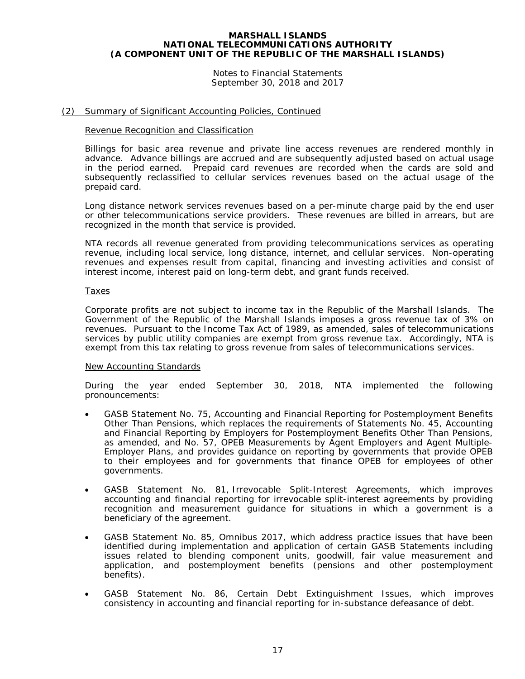Notes to Financial Statements September 30, 2018 and 2017

#### (2) Summary of Significant Accounting Policies, Continued

#### Revenue Recognition and Classification

Billings for basic area revenue and private line access revenues are rendered monthly in advance. Advance billings are accrued and are subsequently adjusted based on actual usage in the period earned. Prepaid card revenues are recorded when the cards are sold and subsequently reclassified to cellular services revenues based on the actual usage of the prepaid card.

Long distance network services revenues based on a per-minute charge paid by the end user or other telecommunications service providers. These revenues are billed in arrears, but are recognized in the month that service is provided.

NTA records all revenue generated from providing telecommunications services as operating revenue, including local service, long distance, internet, and cellular services. Non-operating revenues and expenses result from capital, financing and investing activities and consist of interest income, interest paid on long-term debt, and grant funds received.

#### Taxes

Corporate profits are not subject to income tax in the Republic of the Marshall Islands. The Government of the Republic of the Marshall Islands imposes a gross revenue tax of 3% on revenues. Pursuant to the Income Tax Act of 1989, as amended, sales of telecommunications services by public utility companies are exempt from gross revenue tax. Accordingly, NTA is exempt from this tax relating to gross revenue from sales of telecommunications services.

#### New Accounting Standards

During the year ended September 30, 2018, NTA implemented the following pronouncements:

- GASB Statement No. 75, *Accounting and Financial Reporting for Postemployment Benefits Other Than Pensions*, which replaces the requirements of Statements No. 45, *Accounting and Financial Reporting by Employers for Postemployment Benefits Other Than Pensions*, as amended, and No. 57, *OPEB Measurements by Agent Employers and Agent Multiple-Employer Plans*, and provides guidance on reporting by governments that provide OPEB to their employees and for governments that finance OPEB for employees of other governments.
- GASB Statement No. 81, *Irrevocable Split-Interest Agreements,* which improves accounting and financial reporting for irrevocable split-interest agreements by providing recognition and measurement guidance for situations in which a government is a beneficiary of the agreement.
- GASB Statement No. 85, *Omnibus 2017*, which address practice issues that have been identified during implementation and application of certain GASB Statements including issues related to blending component units, goodwill, fair value measurement and application, and postemployment benefits (pensions and other postemployment benefits).
- GASB Statement No. 86, *Certain Debt Extinguishment Issues*, which improves consistency in accounting and financial reporting for in-substance defeasance of debt.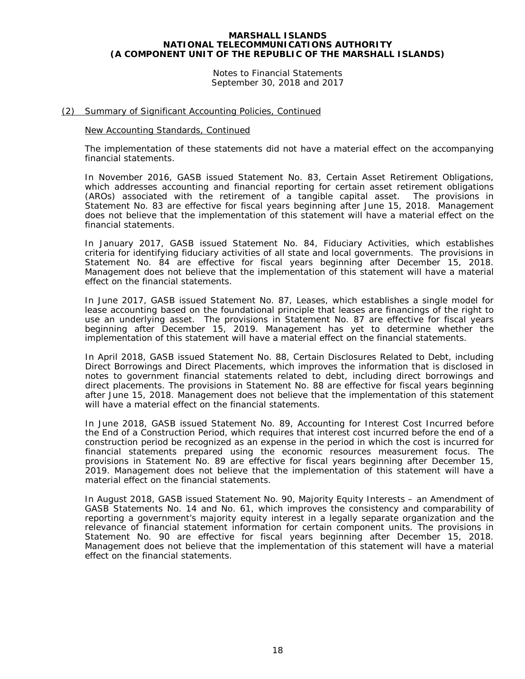Notes to Financial Statements September 30, 2018 and 2017

#### (2) Summary of Significant Accounting Policies, Continued

#### New Accounting Standards, Continued

The implementation of these statements did not have a material effect on the accompanying financial statements.

In November 2016, GASB issued Statement No. 83, *Certain Asset Retirement Obligations*, which addresses accounting and financial reporting for certain asset retirement obligations (AROs) associated with the retirement of a tangible capital asset. The provisions in Statement No. 83 are effective for fiscal years beginning after June 15, 2018. Management does not believe that the implementation of this statement will have a material effect on the financial statements.

In January 2017, GASB issued Statement No. 84, *Fiduciary Activities*, which establishes criteria for identifying fiduciary activities of all state and local governments. The provisions in Statement No. 84 are effective for fiscal years beginning after December 15, 2018. Management does not believe that the implementation of this statement will have a material effect on the financial statements.

In June 2017, GASB issued Statement No. 87, *Leases*, which establishes a single model for lease accounting based on the foundational principle that leases are financings of the right to use an underlying asset. The provisions in Statement No. 87 are effective for fiscal years beginning after December 15, 2019. Management has yet to determine whether the implementation of this statement will have a material effect on the financial statements.

In April 2018, GASB issued Statement No. 88, *Certain Disclosures Related to Debt, including Direct Borrowings and Direct Placements*, which improves the information that is disclosed in notes to government financial statements related to debt, including direct borrowings and direct placements. The provisions in Statement No. 88 are effective for fiscal years beginning after June 15, 2018. Management does not believe that the implementation of this statement will have a material effect on the financial statements.

In June 2018, GASB issued Statement No. 89, *Accounting for Interest Cost Incurred before the End of a Construction Period*, which requires that interest cost incurred before the end of a construction period be recognized as an expense in the period in which the cost is incurred for financial statements prepared using the economic resources measurement focus. The provisions in Statement No. 89 are effective for fiscal years beginning after December 15, 2019. Management does not believe that the implementation of this statement will have a material effect on the financial statements.

In August 2018, GASB issued Statement No. 90, *Majority Equity Interests – an Amendment of GASB Statements No. 14 and No. 61,* which improves the consistency and comparability of reporting a government's majority equity interest in a legally separate organization and the relevance of financial statement information for certain component units. The provisions in Statement No. 90 are effective for fiscal years beginning after December 15, 2018. Management does not believe that the implementation of this statement will have a material effect on the financial statements.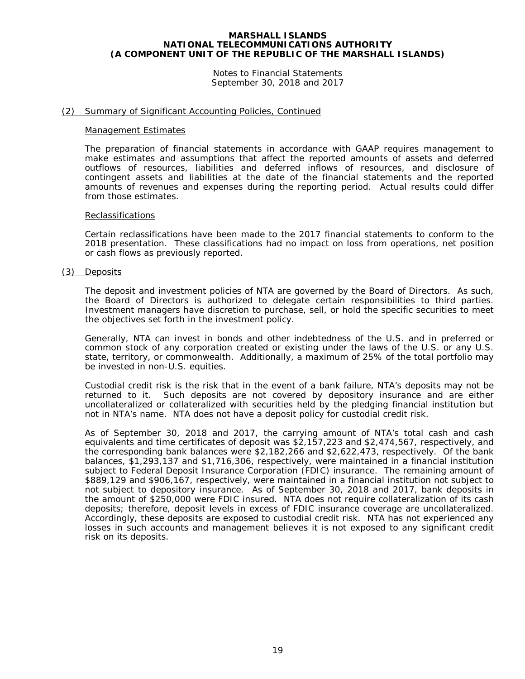Notes to Financial Statements September 30, 2018 and 2017

#### (2) Summary of Significant Accounting Policies, Continued

#### Management Estimates

The preparation of financial statements in accordance with GAAP requires management to make estimates and assumptions that affect the reported amounts of assets and deferred outflows of resources, liabilities and deferred inflows of resources, and disclosure of contingent assets and liabilities at the date of the financial statements and the reported amounts of revenues and expenses during the reporting period. Actual results could differ from those estimates.

#### **Reclassifications**

Certain reclassifications have been made to the 2017 financial statements to conform to the 2018 presentation. These classifications had no impact on loss from operations, net position or cash flows as previously reported.

#### (3) Deposits

The deposit and investment policies of NTA are governed by the Board of Directors. As such, the Board of Directors is authorized to delegate certain responsibilities to third parties. Investment managers have discretion to purchase, sell, or hold the specific securities to meet the objectives set forth in the investment policy.

Generally, NTA can invest in bonds and other indebtedness of the U.S. and in preferred or common stock of any corporation created or existing under the laws of the U.S. or any U.S. state, territory, or commonwealth. Additionally, a maximum of 25% of the total portfolio may be invested in non-U.S. equities.

Custodial credit risk is the risk that in the event of a bank failure, NTA's deposits may not be returned to it. Such deposits are not covered by depository insurance and are either uncollateralized or collateralized with securities held by the pledging financial institution but not in NTA's name. NTA does not have a deposit policy for custodial credit risk.

As of September 30, 2018 and 2017, the carrying amount of NTA's total cash and cash equivalents and time certificates of deposit was \$2,157,223 and \$2,474,567, respectively, and the corresponding bank balances were \$2,182,266 and \$2,622,473, respectively. Of the bank balances, \$1,293,137 and \$1,716,306, respectively, were maintained in a financial institution subject to Federal Deposit Insurance Corporation (FDIC) insurance. The remaining amount of \$889,129 and \$906,167, respectively, were maintained in a financial institution not subject to not subject to depository insurance. As of September 30, 2018 and 2017, bank deposits in the amount of \$250,000 were FDIC insured. NTA does not require collateralization of its cash deposits; therefore, deposit levels in excess of FDIC insurance coverage are uncollateralized. Accordingly, these deposits are exposed to custodial credit risk. NTA has not experienced any losses in such accounts and management believes it is not exposed to any significant credit risk on its deposits.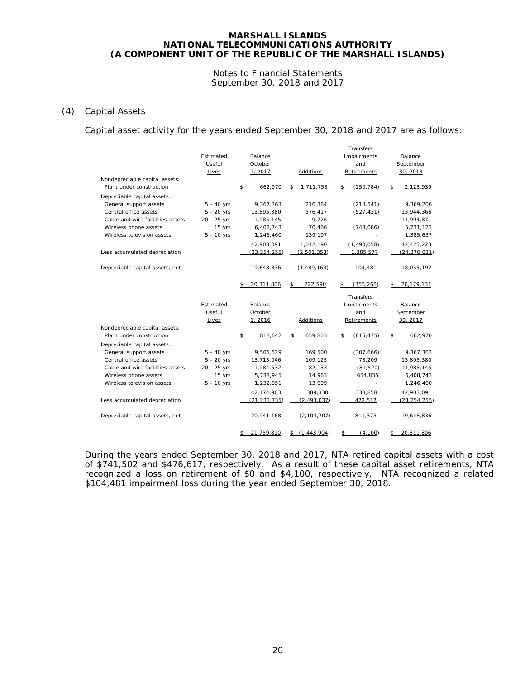Notes to Financial Statements September 30, 2018 and 2017

#### (4) Capital Assets

Capital asset activity for the years ended September 30, 2018 and 2017 are as follows:

|                                  |              |                   |                     | Transfers        |                  |
|----------------------------------|--------------|-------------------|---------------------|------------------|------------------|
|                                  | Estimated    | Balance           |                     | Impairments      | Balance          |
|                                  | Useful       | October           |                     | and              | September        |
|                                  | Lives        | 1, 2017           | Additions           | Retirements      | 30, 2018         |
| Nondepreciable capital assets:   |              |                   |                     |                  |                  |
| Plant under construction         |              | \$<br>662,970     | 1,711,753<br>\$     | \$<br>(250, 784) | 2,123,939<br>\$  |
| Depreciable capital assets:      |              |                   |                     |                  |                  |
| General support assets           | $5 - 40$ yrs | 9,367,363         | 216,384             | (214, 541)       | 9,369,206        |
| Central office assets            | $5 - 20$ yrs | 13,895,380        | 576,417             | (527, 431)       | 13,944,366       |
| Cable and wire facilities assets | 20 - 25 yrs  | 11,985,145        | 9,726               |                  | 11,994,871       |
| Wireless phone assets            | 15 yrs       | 6,408,743         | 70,466              | (748,086)        | 5,731,123        |
| Wireless television assets       | $5 - 10$ yrs | 1,246,460         | 139,197             | $\sim$           | 1,385,657        |
|                                  |              | 42,903,091        | 1,012,190           | (1,490,058)      | 42,425,223       |
| Less accumulated depreciation    |              | (23, 254, 255)    | (2,501,353)         | 1,385,577        | (24, 370, 031)   |
|                                  |              |                   |                     |                  |                  |
| Depreciable capital assets, net  |              | 19,648,836        | (1,489,163)         | 104,481          | 18,055,192       |
|                                  |              | 20.311.806        | 222.590             | (355.265)        | 20.179.131<br>\$ |
|                                  |              |                   |                     |                  |                  |
|                                  |              |                   |                     | Transfers        |                  |
|                                  | Estimated    | Balance           |                     | Impairments      | Balance          |
|                                  | Useful       | October           |                     | and              | September        |
|                                  | Lives        | 1,2016            | Additions           | Retirements      | 30, 2017         |
| Nondepreciable capital assets:   |              |                   |                     |                  |                  |
| Plant under construction         |              | 818,642<br>\$     | 659,803<br>\$       | (815, 475)<br>\$ | 662,970<br>\$    |
| Depreciable capital assets:      |              |                   |                     |                  |                  |
| General support assets           | $5 - 40$ yrs | 9,505,529         | 169,500             | (307, 666)       | 9,367,363        |
| Central office assets            | $5 - 20$ yrs | 13,713,046        | 109,125             | 73,209           | 13,895,380       |
| Cable and wire facilities assets | 20 - 25 yrs  | 11,984,532        | 82,133              | (81, 520)        | 11,985,145       |
| Wireless phone assets            | 15 yrs       | 5,738,945         | 14,963              | 654,835          | 6,408,743        |
| Wireless television assets       | $5 - 10$ yrs | 1,232,851         | 13,609              | $\sim$ $-$       | 1,246,460        |
|                                  |              | 42,174,903        | 389,330             | 338,858          | 42,903,091       |
| Less accumulated depreciation    |              | (21, 233, 735)    | (2, 493, 037)       | 472,517          | (23, 254, 255)   |
| Depreciable capital assets, net  |              | 20,941,168        | (2, 103, 707)       | 811,375          | 19,648,836       |
|                                  |              | 21,759,810<br>\$_ | (1, 443, 904)<br>\$ | (4, 100)<br>\$   | 20,311,806<br>\$ |
|                                  |              |                   |                     |                  |                  |

During the years ended September 30, 2018 and 2017, NTA retired capital assets with a cost of \$741,502 and \$476,617, respectively. As a result of these capital asset retirements, NTA recognized a loss on retirement of \$0 and \$4,100, respectively. NTA recognized a related \$104,481 impairment loss during the year ended September 30, 2018.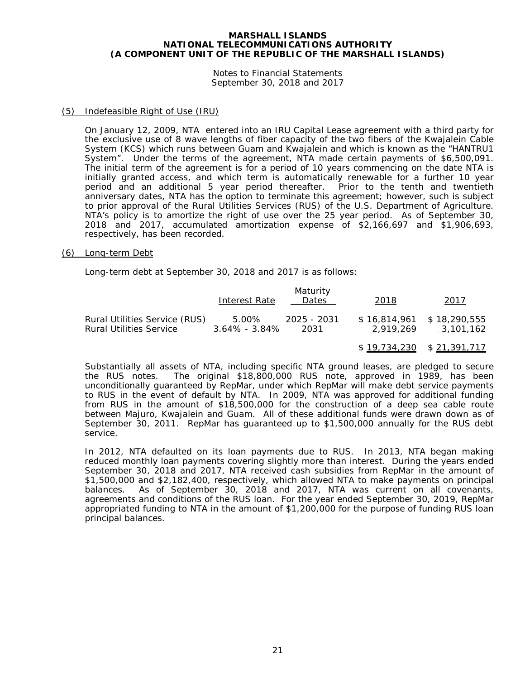Notes to Financial Statements September 30, 2018 and 2017

#### (5) Indefeasible Right of Use (IRU)

On January 12, 2009, NTA entered into an IRU Capital Lease agreement with a third party for the exclusive use of 8 wave lengths of fiber capacity of the two fibers of the Kwajalein Cable System (KCS) which runs between Guam and Kwajalein and which is known as the "HANTRU1 System". Under the terms of the agreement, NTA made certain payments of \$6,500,091. The initial term of the agreement is for a period of 10 years commencing on the date NTA is initially granted access, and which term is automatically renewable for a further 10 year period and an additional 5 year period thereafter. Prior to the tenth and twentieth anniversary dates, NTA has the option to terminate this agreement; however, such is subject to prior approval of the Rural Utilities Services (RUS) of the U.S. Department of Agriculture. NTA's policy is to amortize the right of use over the 25 year period. As of September 30, 2018 and 2017, accumulated amortization expense of \$2,166,697 and \$1,906,693, respectively, has been recorded.

#### (6) Long-term Debt

Long-term debt at September 30, 2018 and 2017 is as follows:

|                                | Interest Rate     | Maturity<br>Dates | 2018                        | 2017      |
|--------------------------------|-------------------|-------------------|-----------------------------|-----------|
| Rural Utilities Service (RUS)  | 5.00%             | 2025 - 2031       | $$16.814.961$ $$18.290.555$ | 3,101,162 |
| <b>Rural Utilities Service</b> | $3.64\% - 3.84\%$ | 2031              | 2.919.269                   |           |

\$ 19,734,230 \$ 21,391,717

Substantially all assets of NTA, including specific NTA ground leases, are pledged to secure the RUS notes. The original \$18,800,000 RUS note, approved in 1989, has been The original \$18,800,000 RUS note, approved in 1989, has been unconditionally guaranteed by RepMar, under which RepMar will make debt service payments to RUS in the event of default by NTA. In 2009, NTA was approved for additional funding from RUS in the amount of \$18,500,000 for the construction of a deep sea cable route between Majuro, Kwajalein and Guam. All of these additional funds were drawn down as of September 30, 2011. RepMar has guaranteed up to \$1,500,000 annually for the RUS debt service.

In 2012, NTA defaulted on its loan payments due to RUS. In 2013, NTA began making reduced monthly loan payments covering slightly more than interest. During the years ended September 30, 2018 and 2017, NTA received cash subsidies from RepMar in the amount of \$1,500,000 and \$2,182,400, respectively, which allowed NTA to make payments on principal balances. As of September 30, 2018 and 2017, NTA was current on all covenants, agreements and conditions of the RUS loan. For the year ended September 30, 2019, RepMar appropriated funding to NTA in the amount of \$1,200,000 for the purpose of funding RUS loan principal balances.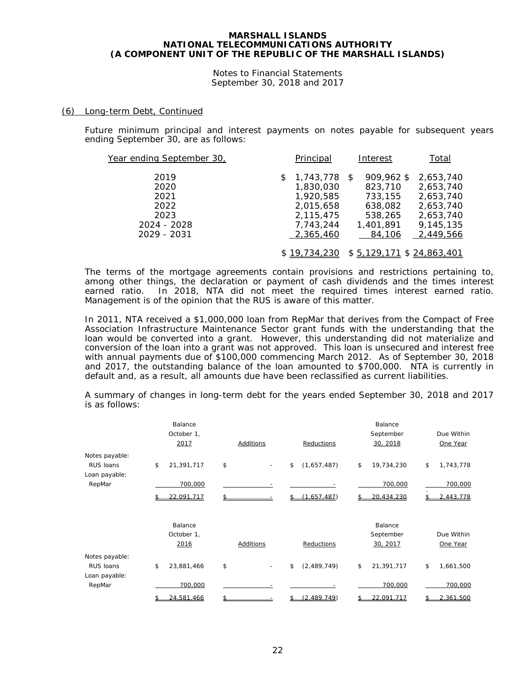Notes to Financial Statements September 30, 2018 and 2017

#### (6) Long-term Debt, Continued

Future minimum principal and interest payments on notes payable for subsequent years ending September 30, are as follows:

| Year ending September 30,            |   | Principal                                                        | Interest                                               | Total                                                         |
|--------------------------------------|---|------------------------------------------------------------------|--------------------------------------------------------|---------------------------------------------------------------|
| 2019<br>2020<br>2021<br>2022<br>2023 | S | 1,743,778 \$<br>1,830,030<br>1,920,585<br>2,015,658<br>2,115,475 | 909,962 \$<br>823,710<br>733,155<br>638,082<br>538,265 | 2,653,740<br>2,653,740<br>2,653,740<br>2,653,740<br>2,653,740 |
| 2024 - 2028<br>2029 - 2031           |   | 7,743,244<br>2,365,460<br>\$19,734,230                           | 1,401,891<br>84,106<br>$$5,129,171$ $$24,863,401$      | 9,145,135<br>2,449,566                                        |

The terms of the mortgage agreements contain provisions and restrictions pertaining to, among other things, the declaration or payment of cash dividends and the times interest earned ratio. In 2018, NTA did not meet the required times interest earned ratio. Management is of the opinion that the RUS is aware of this matter.

In 2011, NTA received a \$1,000,000 loan from RepMar that derives from the Compact of Free Association Infrastructure Maintenance Sector grant funds with the understanding that the loan would be converted into a grant. However, this understanding did not materialize and conversion of the loan into a grant was not approved. This loan is unsecured and interest free with annual payments due of \$100,000 commencing March 2012. As of September 30, 2018 and 2017, the outstanding balance of the loan amounted to \$700,000. NTA is currently in default and, as a result, all amounts due have been reclassified as current liabilities.

A summary of changes in long-term debt for the years ended September 30, 2018 and 2017 is as follows:

|                            | Balance<br>October 1,<br>2017 | Additions | Reductions        | Balance<br>September<br>30, 2018 | Due Within<br>One Year |
|----------------------------|-------------------------------|-----------|-------------------|----------------------------------|------------------------|
| Notes payable:             |                               |           |                   |                                  |                        |
| RUS Ioans<br>Loan payable: | \$<br>21,391,717              | \$        | \$<br>(1,657,487) | \$<br>19,734,230                 | \$<br>1,743,778        |
| RepMar                     | 700,000                       |           |                   | 700,000                          | 700,000                |
|                            | 22.091.717                    |           | (1.657.487)       | 20,434,230                       | 2,443,778              |
|                            | Balance<br>October 1,<br>2016 | Additions | Reductions        | Balance<br>September<br>30, 2017 | Due Within<br>One Year |
| Notes payable:             |                               |           |                   |                                  |                        |
| RUS Ioans<br>Loan payable: | \$<br>23,881,466              | \$        | \$<br>(2,489,749) | \$<br>21,391,717                 | \$<br>1,661,500        |
| RepMar                     | 700,000                       |           |                   | 700,000                          | 700,000                |
|                            | 24,581,466                    |           | 2,489,749)        | 22.091.717                       | 2,361,500              |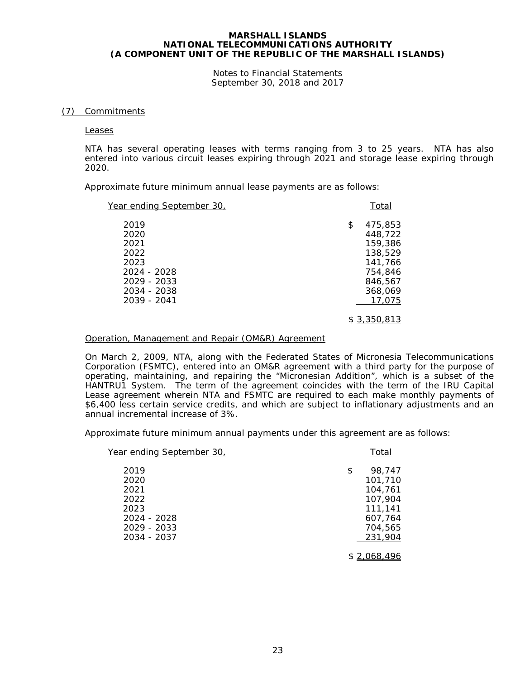Notes to Financial Statements September 30, 2018 and 2017

#### (7) Commitments

Leases

NTA has several operating leases with terms ranging from 3 to 25 years. NTA has also entered into various circuit leases expiring through 2021 and storage lease expiring through 2020.

Approximate future minimum annual lease payments are as follows:

| Year ending September 30,                                                                        | Total                                                                                      |
|--------------------------------------------------------------------------------------------------|--------------------------------------------------------------------------------------------|
| 2019<br>2020<br>2021<br>2022<br>2023<br>2024 - 2028<br>2029 - 2033<br>2034 - 2038<br>2039 - 2041 | 475,853<br>\$<br>448.722<br>159,386<br>138,529<br>141,766<br>754,846<br>846,567<br>368,069 |
|                                                                                                  | 17,075<br>\$3,350,813                                                                      |

#### Operation, Management and Repair (OM&R) Agreement

On March 2, 2009, NTA, along with the Federated States of Micronesia Telecommunications Corporation (FSMTC), entered into an OM&R agreement with a third party for the purpose of operating, maintaining, and repairing the "Micronesian Addition", which is a subset of the HANTRU1 System. The term of the agreement coincides with the term of the IRU Capital Lease agreement wherein NTA and FSMTC are required to each make monthly payments of \$6,400 less certain service credits, and which are subject to inflationary adjustments and an annual incremental increase of 3%.

Approximate future minimum annual payments under this agreement are as follows:

| Year ending September 30,                                                         | Total                                                                                     |
|-----------------------------------------------------------------------------------|-------------------------------------------------------------------------------------------|
| 2019<br>2020<br>2021<br>2022<br>2023<br>2024 - 2028<br>2029 - 2033<br>2034 - 2037 | 98,747<br>\$<br>101,710<br>104,761<br>107,904<br>111,141<br>607,764<br>704,565<br>231,904 |
|                                                                                   | \$2,068,496                                                                               |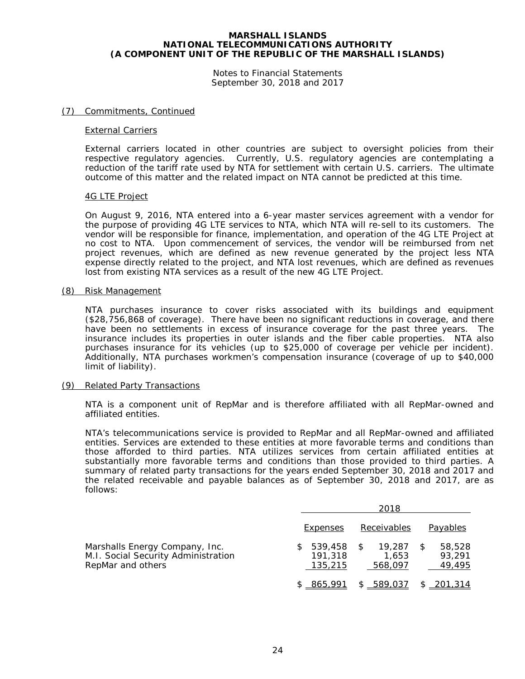Notes to Financial Statements September 30, 2018 and 2017

#### (7) Commitments, Continued

#### External Carriers

External carriers located in other countries are subject to oversight policies from their respective regulatory agencies. Currently, U.S. regulatory agencies are contemplating a reduction of the tariff rate used by NTA for settlement with certain U.S. carriers. The ultimate outcome of this matter and the related impact on NTA cannot be predicted at this time.

#### 4G LTE Project

On August 9, 2016, NTA entered into a 6-year master services agreement with a vendor for the purpose of providing 4G LTE services to NTA, which NTA will re-sell to its customers. The vendor will be responsible for finance, implementation, and operation of the 4G LTE Project at no cost to NTA. Upon commencement of services, the vendor will be reimbursed from net project revenues, which are defined as new revenue generated by the project less NTA expense directly related to the project, and NTA lost revenues, which are defined as revenues lost from existing NTA services as a result of the new 4G LTE Project.

#### (8) Risk Management

NTA purchases insurance to cover risks associated with its buildings and equipment (\$28,756,868 of coverage). There have been no significant reductions in coverage, and there have been no settlements in excess of insurance coverage for the past three years. The insurance includes its properties in outer islands and the fiber cable properties. NTA also purchases insurance for its vehicles (up to \$25,000 of coverage per vehicle per incident). Additionally, NTA purchases workmen's compensation insurance (coverage of up to \$40,000 limit of liability).

#### (9) Related Party Transactions

NTA is a component unit of RepMar and is therefore affiliated with all RepMar-owned and affiliated entities.

NTA's telecommunications service is provided to RepMar and all RepMar-owned and affiliated entities. Services are extended to these entities at more favorable terms and conditions than those afforded to third parties. NTA utilizes services from certain affiliated entities at substantially more favorable terms and conditions than those provided to third parties. A summary of related party transactions for the years ended September 30, 2018 and 2017 and the related receivable and payable balances as of September 30, 2018 and 2017, are as follows:

|                                                                                            | 2018                          |                            |                            |  |
|--------------------------------------------------------------------------------------------|-------------------------------|----------------------------|----------------------------|--|
|                                                                                            | Expenses                      | Receivables                | Payables                   |  |
| Marshalls Energy Company, Inc.<br>M.I. Social Security Administration<br>RepMar and others | 539,458<br>191,318<br>135,215 | 19,287<br>1,653<br>568,097 | 58,528<br>93,291<br>49,495 |  |
|                                                                                            | \$865,991                     | $-589,037$                 | \$201,314                  |  |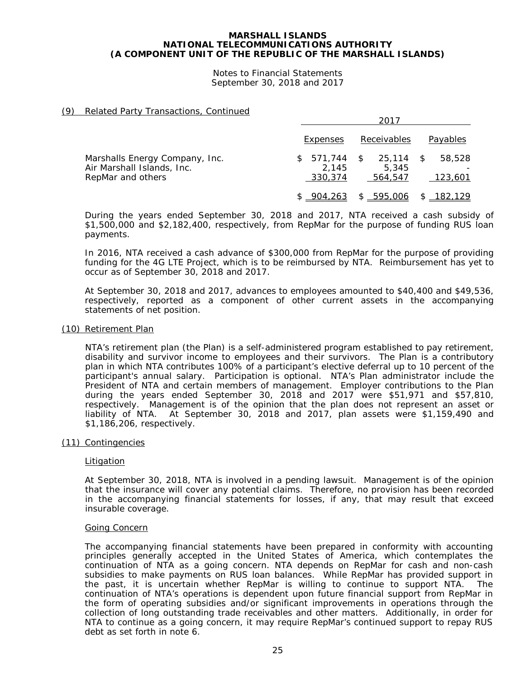Notes to Financial Statements September 30, 2018 and 2017

#### (9) Related Party Transactions, Continued

|                                                                                   |                                   | 2017                                    |                         |  |  |
|-----------------------------------------------------------------------------------|-----------------------------------|-----------------------------------------|-------------------------|--|--|
|                                                                                   | Expenses                          | Receivables                             | Payables                |  |  |
| Marshalls Energy Company, Inc.<br>Air Marshall Islands, Inc.<br>RepMar and others | 571,744<br>S.<br>2.145<br>330,374 | 25,114<br>$\sim$ \$<br>5.345<br>564,547 | 58,528<br>\$<br>123,601 |  |  |
|                                                                                   | \$904.263                         | 595,006                                 | \$182,129               |  |  |

During the years ended September 30, 2018 and 2017, NTA received a cash subsidy of \$1,500,000 and \$2,182,400, respectively, from RepMar for the purpose of funding RUS loan payments.

In 2016, NTA received a cash advance of \$300,000 from RepMar for the purpose of providing funding for the 4G LTE Project, which is to be reimbursed by NTA. Reimbursement has yet to occur as of September 30, 2018 and 2017.

At September 30, 2018 and 2017, advances to employees amounted to \$40,400 and \$49,536, respectively, reported as a component of other current assets in the accompanying statements of net position.

#### (10) Retirement Plan

NTA's retirement plan (the Plan) is a self-administered program established to pay retirement, disability and survivor income to employees and their survivors. The Plan is a contributory plan in which NTA contributes 100% of a participant's elective deferral up to 10 percent of the participant's annual salary. Participation is optional. NTA's Plan administrator include the President of NTA and certain members of management. Employer contributions to the Plan during the years ended September 30, 2018 and 2017 were \$51,971 and \$57,810, respectively. Management is of the opinion that the plan does not represent an asset or liability of NTA. At September 30, 2018 and 2017, plan assets were \$1,159,490 and \$1,186,206, respectively.

#### (11) Contingencies

#### Litigation

At September 30, 2018, NTA is involved in a pending lawsuit. Management is of the opinion that the insurance will cover any potential claims. Therefore, no provision has been recorded in the accompanying financial statements for losses, if any, that may result that exceed insurable coverage.

#### Going Concern

The accompanying financial statements have been prepared in conformity with accounting principles generally accepted in the United States of America, which contemplates the continuation of NTA as a going concern. NTA depends on RepMar for cash and non-cash subsidies to make payments on RUS loan balances. While RepMar has provided support in the past, it is uncertain whether RepMar is willing to continue to support NTA. The continuation of NTA's operations is dependent upon future financial support from RepMar in the form of operating subsidies and/or significant improvements in operations through the collection of long outstanding trade receivables and other matters. Additionally, in order for NTA to continue as a going concern, it may require RepMar's continued support to repay RUS debt as set forth in note 6.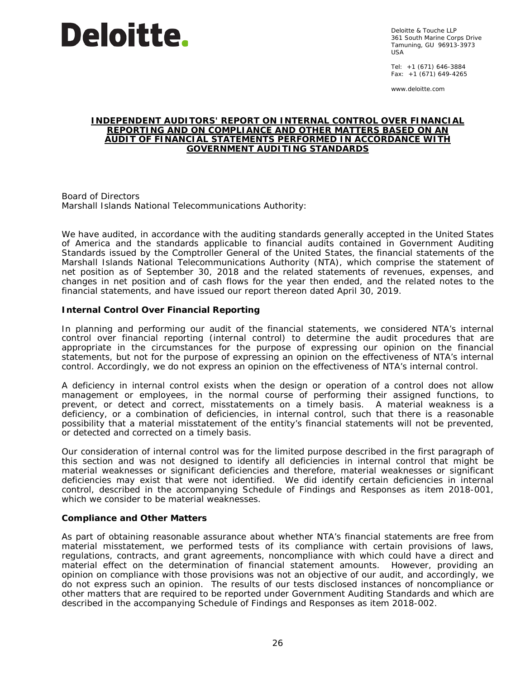

Deloitte & Touche LLP 361 South Marine Corps Drive Tamuning, GU 96913-3973 USA

Tel: +1 (671) 646-3884 Fax: +1 (671) 649-4265

www.deloitte.com

#### **INDEPENDENT AUDITORS' REPORT ON INTERNAL CONTROL OVER FINANCIAL REPORTING AND ON COMPLIANCE AND OTHER MATTERS BASED ON AN AUDIT OF FINANCIAL STATEMENTS PERFORMED IN ACCORDANCE WITH** *GOVERNMENT AUDITING STANDARDS*

Board of Directors Marshall Islands National Telecommunications Authority:

We have audited, in accordance with the auditing standards generally accepted in the United States of America and the standards applicable to financial audits contained in *Government Auditing Standards* issued by the Comptroller General of the United States, the financial statements of the Marshall Islands National Telecommunications Authority (NTA), which comprise the statement of net position as of September 30, 2018 and the related statements of revenues, expenses, and changes in net position and of cash flows for the year then ended, and the related notes to the financial statements, and have issued our report thereon dated April 30, 2019.

# **Internal Control Over Financial Reporting**

In planning and performing our audit of the financial statements, we considered NTA's internal control over financial reporting (internal control) to determine the audit procedures that are appropriate in the circumstances for the purpose of expressing our opinion on the financial statements, but not for the purpose of expressing an opinion on the effectiveness of NTA's internal control. Accordingly, we do not express an opinion on the effectiveness of NTA's internal control.

A *deficiency in internal control* exists when the design or operation of a control does not allow management or employees, in the normal course of performing their assigned functions, to prevent, or detect and correct, misstatements on a timely basis. A *material weakness* is a deficiency, or a combination of deficiencies, in internal control, such that there is a reasonable possibility that a material misstatement of the entity's financial statements will not be prevented, or detected and corrected on a timely basis.

Our consideration of internal control was for the limited purpose described in the first paragraph of this section and was not designed to identify all deficiencies in internal control that might be material weaknesses or significant deficiencies and therefore, material weaknesses or significant deficiencies may exist that were not identified. We did identify certain deficiencies in internal control, described in the accompanying Schedule of Findings and Responses as item 2018-001, which we consider to be material weaknesses.

#### **Compliance and Other Matters**

As part of obtaining reasonable assurance about whether NTA's financial statements are free from material misstatement, we performed tests of its compliance with certain provisions of laws, regulations, contracts, and grant agreements, noncompliance with which could have a direct and material effect on the determination of financial statement amounts. However, providing an opinion on compliance with those provisions was not an objective of our audit, and accordingly, we do not express such an opinion. The results of our tests disclosed instances of noncompliance or other matters that are required to be reported under *Government Auditing Standards* and which are described in the accompanying Schedule of Findings and Responses as item 2018-002.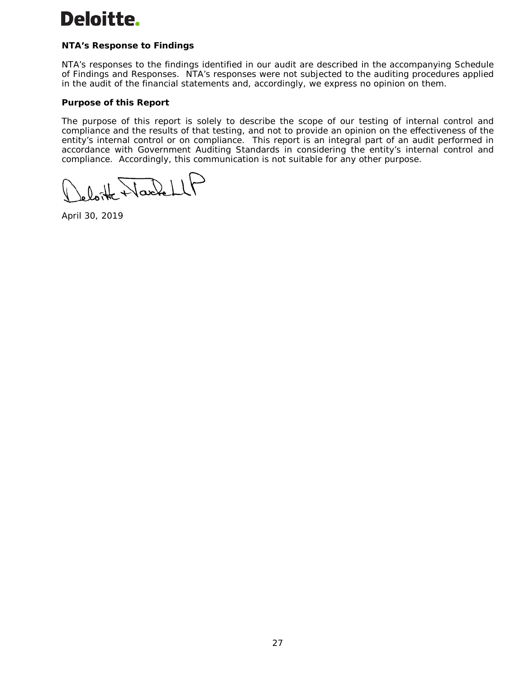# Deloitte.

# **NTA's Response to Findings**

NTA's responses to the findings identified in our audit are described in the accompanying Schedule of Findings and Responses. NTA's responses were not subjected to the auditing procedures applied in the audit of the financial statements and, accordingly, we express no opinion on them.

# **Purpose of this Report**

The purpose of this report is solely to describe the scope of our testing of internal control and compliance and the results of that testing, and not to provide an opinion on the effectiveness of the entity's internal control or on compliance. This report is an integral part of an audit performed in accordance with *Government Auditing Standards* in considering the entity's internal control and compliance. Accordingly, this communication is not suitable for any other purpose.

loite Wackell

April 30, 2019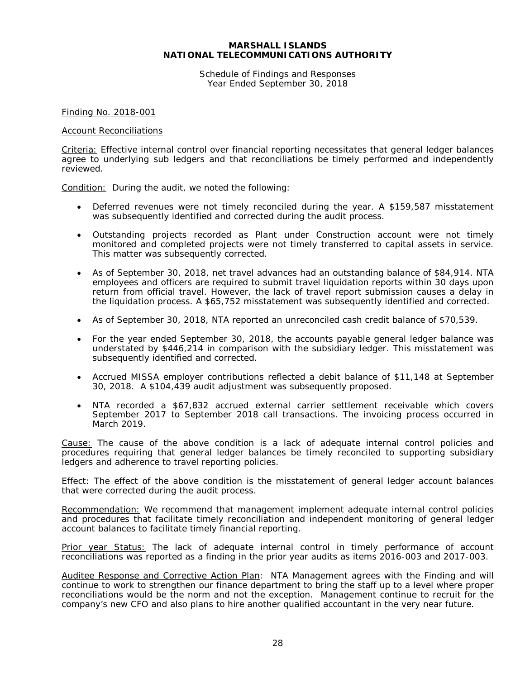#### **MARSHALL ISLANDS NATIONAL TELECOMMUNICATIONS AUTHORITY**

Schedule of Findings and Responses Year Ended September 30, 2018

Finding No. 2018-001

#### Account Reconciliations

Criteria: Effective internal control over financial reporting necessitates that general ledger balances agree to underlying sub ledgers and that reconciliations be timely performed and independently reviewed.

Condition: During the audit, we noted the following:

- Deferred revenues were not timely reconciled during the year. A \$159,587 misstatement was subsequently identified and corrected during the audit process.
- Outstanding projects recorded as Plant under Construction account were not timely monitored and completed projects were not timely transferred to capital assets in service. This matter was subsequently corrected.
- As of September 30, 2018, net travel advances had an outstanding balance of \$84,914. NTA employees and officers are required to submit travel liquidation reports within 30 days upon return from official travel. However, the lack of travel report submission causes a delay in the liquidation process. A \$65,752 misstatement was subsequently identified and corrected.
- As of September 30, 2018, NTA reported an unreconciled cash credit balance of \$70,539.
- For the year ended September 30, 2018, the accounts payable general ledger balance was understated by \$446,214 in comparison with the subsidiary ledger. This misstatement was subsequently identified and corrected.
- Accrued MISSA employer contributions reflected a debit balance of \$11,148 at September 30, 2018. A \$104,439 audit adjustment was subsequently proposed.
- NTA recorded a \$67,832 accrued external carrier settlement receivable which covers September 2017 to September 2018 call transactions. The invoicing process occurred in March 2019.

Cause: The cause of the above condition is a lack of adequate internal control policies and procedures requiring that general ledger balances be timely reconciled to supporting subsidiary ledgers and adherence to travel reporting policies.

**Effect:** The effect of the above condition is the misstatement of general ledger account balances that were corrected during the audit process.

Recommendation: We recommend that management implement adequate internal control policies and procedures that facilitate timely reconciliation and independent monitoring of general ledger account balances to facilitate timely financial reporting.

Prior year Status: The lack of adequate internal control in timely performance of account reconciliations was reported as a finding in the prior year audits as items 2016-003 and 2017-003.

Auditee Response and Corrective Action Plan: NTA Management agrees with the Finding and will continue to work to strengthen our finance department to bring the staff up to a level where proper reconciliations would be the norm and not the exception. Management continue to recruit for the company's new CFO and also plans to hire another qualified accountant in the very near future.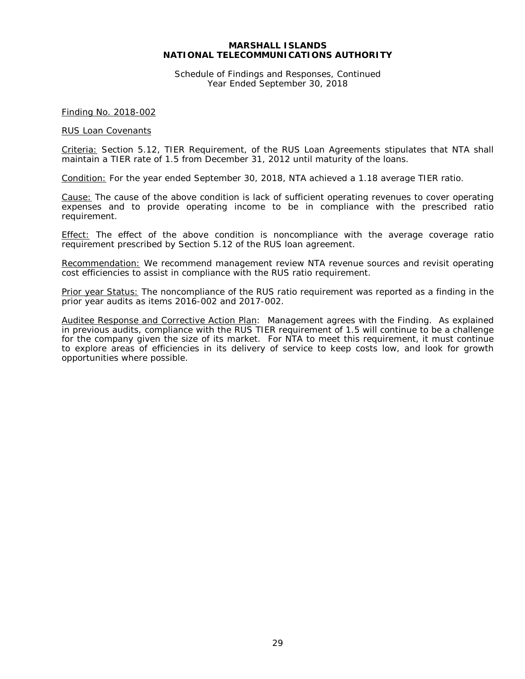#### **MARSHALL ISLANDS NATIONAL TELECOMMUNICATIONS AUTHORITY**

Schedule of Findings and Responses, Continued Year Ended September 30, 2018

Finding No. 2018-002

#### RUS Loan Covenants

Criteria: Section 5.12, *TIER Requirement*, of the RUS Loan Agreements stipulates that NTA shall maintain a TIER rate of 1.5 from December 31, 2012 until maturity of the loans.

Condition: For the year ended September 30, 2018, NTA achieved a 1.18 average TIER ratio.

Cause: The cause of the above condition is lack of sufficient operating revenues to cover operating expenses and to provide operating income to be in compliance with the prescribed ratio requirement.

Effect: The effect of the above condition is noncompliance with the average coverage ratio requirement prescribed by Section 5.12 of the RUS loan agreement.

Recommendation: We recommend management review NTA revenue sources and revisit operating cost efficiencies to assist in compliance with the RUS ratio requirement.

Prior year Status: The noncompliance of the RUS ratio requirement was reported as a finding in the prior year audits as items 2016-002 and 2017-002.

Auditee Response and Corrective Action Plan: Management agrees with the Finding. As explained in previous audits, compliance with the RUS TIER requirement of 1.5 will continue to be a challenge for the company given the size of its market. For NTA to meet this requirement, it must continue to explore areas of efficiencies in its delivery of service to keep costs low, and look for growth opportunities where possible.